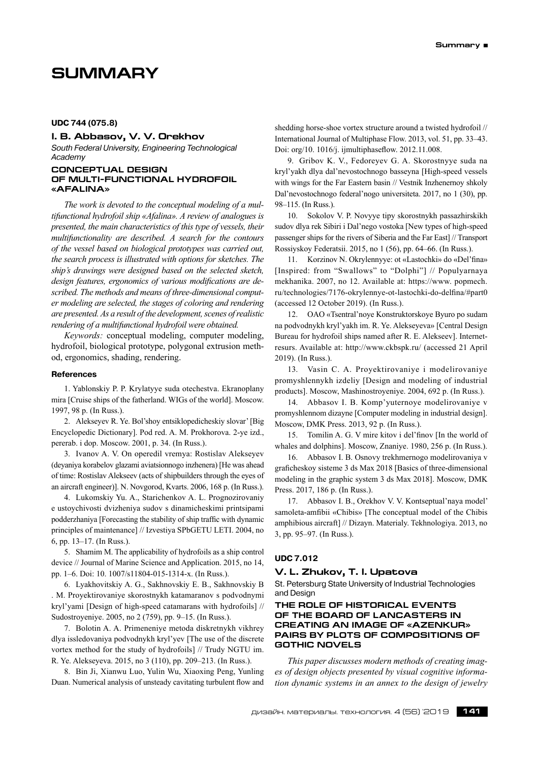# **SUMMARY**

# **I. B. Abbasov, V. V. Orekhov**

*South Federal University, Engineering Technological Academy*

#### **CONCEPTUAL DESIGN OF MULTI-FUNCTIONAL HYDROFOIL «AFALINA»**

*The work is devoted to the conceptual modeling of a multifunctional hydrofoil ship «Afalina». A review of analogues is presented, the main characteristics of this type of vessels, their multifunctionality are described. A search for the contours of the vessel based on biological prototypes was carried out, the search process is illustrated with options for sketches. The ship's drawings were designed based on the selected sketch, design features, ergonomics of various modifications are described. The methods and means of three-dimensional computer modeling are selected, the stages of coloring and rendering are presented.As a result of the development,scenes ofrealistic rendering of a multifunctional hydrofoil were obtained.*

*Keywords:* conceptual modeling, computer modeling, hydrofoil, biological prototype, polygonal extrusion method, ergonomics, shading, rendering.

# **References**

1. Yablonskiy P. P. Krylatyye suda otechestva. Ekranoplany mira [Cruise ships of the fatherland. WIGs of the world]. Moscow. 1997, 98 p. (In Russ.).

2. Alekseyev R. Ye. Bol'shoy entsiklopedicheskiy slovar' [Big Encyclopedic Dictionary]. Pod red. A. M. Prokhorova. 2‑ye izd., pererab. i dop. Moscow. 2001, p. 34. (In Russ.).

3. Ivanov A. V. On operedil vremya: Rostislav Alekseyev (deyaniya korabelov glazami aviatsionnogo inzhenera) [He was ahead of time: Rostislav Alekseev (acts of shipbuilders through the eyes of an aircraft engineer)]. N. Novgorod, Kvarts. 2006, 168 р. (In Russ.).

4. Lukomskiy Yu. A., Starichenkov A. L. Prognozirovaniy e ustoychivosti dvizheniya sudov s dinamicheskimi printsipami podderzhaniya [Forecasting the stability of ship traffic with dynamic principles of maintenance] // Izvestiya SPbGETU LETI. 2004, no 6, pp. 13–17. (In Russ.).

5. Shamim M. The applicability of hydrofoils as a ship control device // Journal of Marine Science and Application. 2015, no 14, pp. 1–6. Doi: 10. 1007/s11804‑015‑1314‑x. (In Russ.).

6. Lyakhovitskiy A. G., Sakhnovskiy E. B., Sakhnovskiy B . M. Proyektirovaniye skorostnykh katamaranov s podvodnymi kryl'yami [Design of high-speed catamarans with hydrofoils] // Sudostroyeniye. 2005, no 2 (759), pp. 9–15. (In Russ.).

7. Bolotin A. A. Primeneniye metoda diskretnykh vikhrey dlya issledovaniya podvodnykh kryl'yev [The use of the discrete vortex method for the study of hydrofoils] // Trudy NGTU im. R. Ye. Alekseyeva. 2015, no 3 (110), pp. 209–213. (In Russ.).

8. Bin Ji, Xianwu Luo, Yulin Wu, Xiaoxing Peng, Yunling Duan. Numerical analysis of unsteady cavitating turbulent flow and shedding horse-shoe vortex structure around a twisted hydrofoil // International Journal of Multiphase Flow. 2013, vol. 51, pp. 33–43. Doi: org/10. 1016/j. ijmultiphaseflow. 2012.11.008.

9. Gribov K. V., Fedoreyev G. A. Skorostnyye suda na kryl'yakh dlya dal'nevostochnogo basseyna [High-speed vessels with wings for the Far Eastern basin // Vestnik Inzhenernoy shkoly Dal'nevostochnogo federal'nogo universiteta. 2017, no 1 (30), pp. 98–115. (In Russ.).

10. Sokolov V. P. Novyye tipy skorostnykh passazhirskikh sudov dlya rek Sibiri i Dal'nego vostoka [New types of high-speed passenger ships for the rivers of Siberia and the Far East] // Transport Rossiyskoy Federatsii. 2015, no 1 (56), pp. 64–66. (In Russ.).

11. Korzinov N. Okrylennyye: ot «Lastochki» do «Del'fina» [Inspired: from "Swallows" to "Dolphi"] // Populyarnaya mekhanika. 2007, no 12. Available at: https://www. popmech. ru/technologies/7176‑okrylennye-ot-lastochki-do-delfina/#part0 (accessed 12 October 2019). (In Russ.).

12. OAO «Tsentral'noye Konstruktorskoye Byuro po sudam na podvodnykh kryl'yakh im. R. Ye. Alekseyeva» [Central Design Bureau for hydrofoil ships named after R. E. Alekseev]. Internetresurs. Available at: http://www.ckbspk.ru/ (accessed 21 April 2019). (In Russ.).

13. Vasin C. A. Proyektirovaniye i modelirovaniye promyshlennykh izdeliy [Design and modeling of industrial products]. Moscow, Mashinostroyeniye. 2004, 692 p. (In Russ.).

14. Abbasov I. B. Komp'yuternoye modelirovaniye v promyshlennom dizayne [Computer modeling in industrial design]. Moscow, DMK Press. 2013, 92 p. (In Russ.).

15. Tomilin A. G. V mire kitov i del'finov [In the world of whales and dolphins]. Moscow, Znaniye. 1980, 256 p. (In Russ.).

16. Abbasov I. B. Osnovy trekhmernogo modelirovaniya v graficheskoy sisteme 3 ds Max 2018 [Basics of three-dimensional modeling in the graphic system 3 ds Max 2018]. Moscow, DMK Press. 2017, 186 p. (In Russ.).

17. Abbasov I. B., Orekhov V. V. Kontseptual'naya model' samoleta-amfibii «Chibis» [The conceptual model of the Chibis amphibious aircraft] // Dizayn. Materialy. Tekhnologiya. 2013, no 3, pp. 95–97. (In Russ.).

# **UDC 7.012**

# **V. L. Zhukov, T. I. Upatova**

St. Petersburg State University of Industrial Technologies and Design

# **THE ROLE OF HISTORICAL EVENTS OF THE BOARD OF LANCASTERS IN CREATING AN IMAGE OF «AZENKUR» PAIRS BY PLOTS OF COMPOSITIONS OF GOTHIC NOVELS**

*This paper discusses modern methods of creating images of design objects presented by visual cognitive information dynamic systems in an annex to the design of jewelry*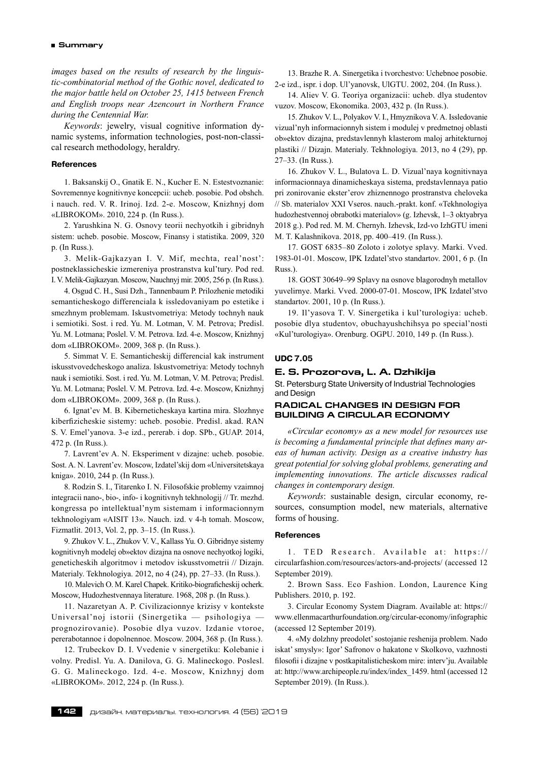*images based on the results of research by the linguistic-combinatorial method of the Gothic novel, dedicated to the major battle held on October 25, 1415 between French and English troops near Azencourt in Northern France during the Centennial War.*

*Keywords*: jewelry, visual cognitive information dynamic systems, information technologies, post-non-classical research methodology, heraldry.

#### **References**

1. Baksanskij O., Gnatik E. N., Kucher E. N. Estestvoznanie: Sovremennye kognitivnye koncepcii: ucheb. posobie. Pod obshch. i nauch. red. V. R. Irinoj. Izd. 2‑e. Moscow, Knizhnyj dom «LIBROKOM». 2010, 224 p. (In Russ.).

2. Yarushkina N. G. Osnovy teorii nechyotkih i gibridnyh sistem: ucheb. posobie. Moscow, Finansy i statistika. 2009, 320 p. (In Russ.).

3. Melik-Gajkazyan I. V. Mif, mechta, real'nost': postneklassicheskie izmereniya prostranstva kul'tury. Pod red. I. V. Melik-Gajkazyan. Moscow, Nauchnyj mir. 2005, 256 p. (In Russ.).

4. Osgud C. H., Susi Dzh., Tannenbaum P. Prilozhenie metodiki semanticheskogo differenciala k issledovaniyam po estetike i smezhnym problemam. Iskustvometriya: Metody tochnyh nauk i semiotiki. Sost. i red. Yu. M. Lotman, V. M. Petrova; Predisl. Yu. M. Lotmana; Poslel. V. M. Petrova. Izd. 4‑e. Moscow, Knizhnyj dom «LIBROKOM». 2009, 368 p. (In Russ.).

5. Simmat V. E. Semanticheskij differencial kak instrument iskusstvovedcheskogo analiza. Iskustvometriya: Metody tochnyh nauk i semiotiki. Sost. i red. Yu. M. Lotman, V. M. Petrova; Predisl. Yu. M. Lotmana; Poslel. V. M. Petrova. Izd. 4‑e. Moscow, Knizhnyj dom «LIBROKOM». 2009, 368 p. (In Russ.).

6. Ignat'ev M. B. Kiberneticheskaya kartina mira. Slozhnye kiberfizicheskie sistemy: ucheb. posobie. Predisl. akad. RAN S. V. Emel'yanova. 3‑e izd., pererab. i dop. SPb., GUAP. 2014, 472 p. (In Russ.).

7. Lavrent'ev A. N. Eksperiment v dizajne: ucheb. posobie. Sost. A. N. Lavrent'ev. Moscow, Izdatel'skij dom «Universitetskaya kniga». 2010, 244 p. (In Russ.).

8. Rodzin S. I., Titarenko I. N. Filosofskie problemy vzaimnoj integracii nano-, bio-, info- i kognitivnyh tekhnologij // Tr. mezhd. kongressa po intellektual'nym sistemam i informacionnym tekhnologiyam «AISIT 13». Nauch. izd. v 4‑h tomah. Moscow, Fizmatlit. 2013, Vol. 2, pp. 3–15. (In Russ.).

9. Zhukov V. L., Zhukov V. V., Kallass Yu. O. Gibridnye sistemy kognitivnyh modelej ob»ektov dizajna na osnove nechyotkoj logiki, geneticheskih algoritmov i metodov iskusstvometrii // Dizajn. Materialy. Tekhnologiya. 2012, no 4 (24), pp. 27–33. (In Russ.).

10. Malevich O. M. Karel Chapek. Kritiko-biograficheskij ocherk. Moscow, Hudozhestvennaya literature. 1968, 208 p. (In Russ.).

11. Nazaretyan A. P. Civilizacionnye krizisy v kontekste Universal'noj istorii (Sinergetika — psihologiya prognozirovanie). Posobie dlya vuzov. Izdanie vtoroe, pererabotannoe i dopolnennoe. Moscow. 2004, 368 p. (In Russ.).

12. Trubeckov D. I. Vvedenie v sinergetiku: Kolebanie i volny. Predisl. Yu. A. Danilova, G. G. Malineckogo. Poslesl. G. G. Malineckogo. Izd. 4‑e. Moscow, Knizhnyj dom «LIBROKOM». 2012, 224 p. (In Russ.).

13. Brazhe R. A. Sinergetika i tvorchestvo: Uchebnoe posobie. 2‑e izd., ispr. i dop. Ul'yanovsk, UlGTU. 2002, 204. (In Russ.).

14. Aliev V. G. Teoriya organizacii: ucheb. dlya studentov vuzov. Moscow, Ekonomika. 2003, 432 p. (In Russ.).

15. Zhukov V. L., Polyakov V. I., Hmyznikova V. A. Issledovanie vizual'nyh informacionnyh sistem i modulej v predmetnoj oblasti ob»ektov dizajna, predstavlennyh klasterom maloj arhitekturnoj plastiki // Dizajn. Materialy. Tekhnologiya. 2013, no 4 (29), pp. 27–33. (In Russ.).

16. Zhukov V. L., Bulatova L. D. Vizual'naya kognitivnaya informacionnaya dinamicheskaya sistema, predstavlennaya patio pri zonirovanie ekster'erov zhiznennogo prostranstva cheloveka // Sb. materialov XXI Vseros. nauch.‑prakt. konf. «Tekhnologiya hudozhestvennoj obrabotki materialov» (g. Izhevsk, 1–3 oktyabrya 2018 g.). Pod red. M. M. Chernyh. Izhevsk, Izd-vo IzhGTU imeni M. T. Kalashnikova. 2018, pp. 400–419. (In Russ.).

17. GOST 6835–80 Zoloto i zolotye splavy. Marki. Vved. 1983‑01‑01. Moscow, IPK Izdatel'stvo standartov. 2001, 6 p. (In Russ.).

18. GOST 30649–99 Splavy na osnove blagorodnyh metallov yuvelirnye. Marki. Vved. 2000‑07‑01. Moscow, IPK Izdatel'stvo standartov. 2001, 10 p. (In Russ.).

19. Il'yasova T. V. Sinergetika i kul'turologiya: ucheb. posobie dlya studentov, obuchayushchihsya po special'nosti «Kul'turologiya». Orenburg. OGPU. 2010, 149 p. (In Russ.).

# **UDC 7.05**

# **E. S. Prozorova, L. A. Dzhikija**

St. Petersburg State University of Industrial Technologies and Design

# **RADICAL CHANGES IN DESIGN FOR BUILDING A CIRCULAR ECONOMY**

*«Circular economy» as a new model for resources use is becoming a fundamental principle that defines many areas of human activity. Design as a creative industry has great potential for solving global problems, generating and implementing innovations. The article discusses radical changes in contemporary design.*

*Keywords*: sustainable design, circular economy, resources, consumption model, new materials, alternative forms of housing.

# **References**

1 . TED Research. Available at: https:// circularfashion.com/resources/actors-and-projects/ (accessed 12 September 2019).

2. Brown Sass. Eco Fashion. London, Laurence King Publishers. 2010, p. 192.

3. Circular Economy System Diagram. Available at: https:// www.ellenmacarthurfoundation.org/circular-economy/infographic (accessed 12 September 2019).

4. «My dolzhny preodolet' sostojanie reshenija problem. Nado iskat' smysly»: Igor' Safronov o hakatone v Skolkovo, vazhnosti filosofii i dizajne v postkapitalisticheskom mire: interv'ju. Available at: http://www.archipeople.ru/index/index\_1459. html (accessed 12 September 2019). (In Russ.).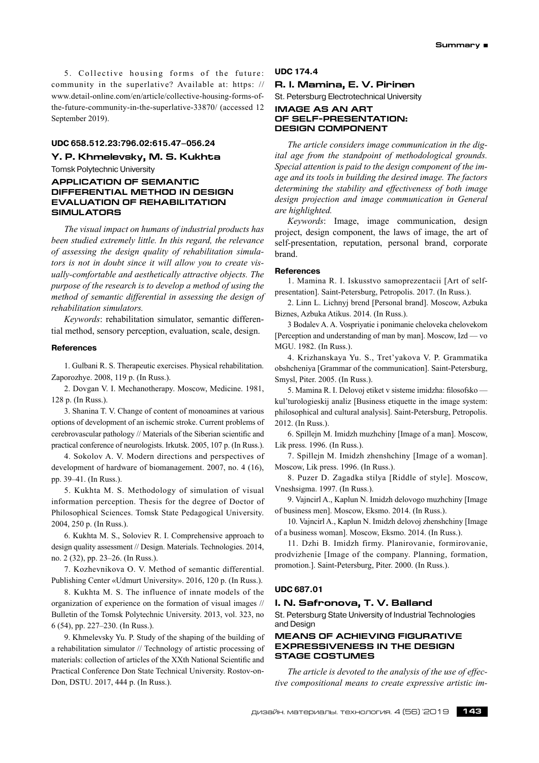5. Collective housing forms of the future: community in the superlative? Available at: https: // www.detail-online.com/en/article/collective-housing-forms-ofthe-future-community-in-the-superlative-33870/ (accessed 12 September 2019).

# **UDC 658.512.23:796.02:615.47–056.24**

**Y. P. Khmelevsky, M. S. Kukhta**

Tomsk Polytechnic University

# **APPLICATION OF SEMANTIC DIFFERENTIAL METHOD IN DESIGN EVALUATION OF REHABILITATION SIMULATORS**

*The visual impact on humans of industrial products has been studied extremely little. In this regard, the relevance of assessing the design quality of rehabilitation simulators is not in doubt since it will allow you to create visually-comfortable and aesthetically attractive objects. The purpose of the research is to develop a method of using the method of semantic differential in assessing the design of rehabilitation simulators.*

*Keywords*: rehabilitation simulator, semantic differential method, sensory perception, evaluation, scale, design.

#### **References**

1. Gulbani R. S. Therapeutic exercises. Physical rehabilitation. Zaporozhye. 2008, 119 p. (In Russ.).

2. Dovgan V. I. Mechanotherapy. Moscow, Medicine. 1981, 128 p. (In Russ.).

3. Shanina T. V. Change of content of monoamines at various options of development of an ischemic stroke. Current problems of cerebrovascular pathology // Materials of the Siberian scientific and practical conference of neurologists. Irkutsk. 2005, 107 p. (In Russ.).

4. Sokolov A. V. Modern directions and perspectives of development of hardware of biomanagement. 2007, no. 4 (16), pp. 39–41. (In Russ.).

5. Kukhta M. S. Methodology of simulation of visual information perception. Thesis for the degree of Doctor of Philosophical Sciences. Tomsk State Pedagogical University. 2004, 250 p. (In Russ.).

6. Kukhta M. S., Soloviev R. I. Comprehensive approach to design quality assessment // Design. Materials. Technologies. 2014, no. 2 (32), pp. 23–26. (In Russ.).

7. Kozhevnikova O. V. Method of semantic differential. Publishing Center «Udmurt University». 2016, 120 p. (In Russ.).

8. Kukhta M. S. The influence of innate models of the organization of experience on the formation of visual images // Bulletin of the Tomsk Polytechnic University. 2013, vol. 323, no 6 (54), pp. 227–230. (In Russ.).

9. Khmelevsky Yu. P. Study of the shaping of the building of a rehabilitation simulator // Technology of artistic processing of materials: collection of articles of the XXth National Scientific and Practical Conference Don State Technical University. Rostov-on-Don, DSTU. 2017, 444 p. (In Russ.).

# **UDC 174.4**

# **R. I. Mamina, E. V. Pirinen**

St. Petersburg Electrotechnical University

# **IMAGE AS AN ART OF SELF-PRESENTATION: DESIGN COMPONENT**

*The article considers image communication in the digital age from the standpoint of methodological grounds. Special attention is paid to the design component of the image and its tools in building the desired image. The factors determining the stability and effectiveness of both image design projection and image communication in General are highlighted.*

*Keywords*: Image, image communication, design project, design component, the laws of image, the art of self-presentation, reputation, personal brand, corporate brand.

# **References**

1. Mamina R. I. Iskusstvo samoprezentacii [Art of selfpresentation]. Saint-Petersburg, Petropolis. 2017. (In Russ.).

2. Linn L. Lichnyj brend [Personal brand]. Moscow, Azbuka Biznes, Azbuka Atikus. 2014. (In Russ.).

3 Bodalev A. A. Vospriyatie i ponimanie cheloveka chelovekom [Perception and understanding of man by man]. Moscow, Izd — vo MGU. 1982. (In Russ.).

4. Krizhanskaya Yu. S., Tret'yakova V. P. Grammatika obshcheniya [Grammar of the communication]. Saint-Petersburg, Smysl, Piter. 2005. (In Russ.).

5. Mamina R. I. Delovoj etiket v sisteme imidzha: filosofsko kul'turologieskij analiz [Business etiquette in the image system: philosophical and cultural analysis]. Saint-Petersburg, Petropolis. 2012. (In Russ.).

6. Spillejn M. Imidzh muzhchiny [Image of a man]. Moscow, Lik press. 1996. (In Russ.).

7. Spillejn M. Imidzh zhenshchiny [Image of a woman]. Moscow, Lik press. 1996. (In Russ.).

8. Puzer D. Zagadka stilya [Riddle of style]. Moscow, Vneshsigma. 1997. (In Russ.).

9. Vajncirl A., Kaplun N. Imidzh delovogo muzhchiny [Image of business men]. Moscow, Eksmo. 2014. (In Russ.).

10. Vajncirl A., Kaplun N. Imidzh delovoj zhenshchiny [Image of a business woman]. Moscow, Eksmo. 2014. (In Russ.).

11. Dzhi B. Imidzh firmy. Planirovanie, formirovanie, prodvizhenie [Image of the company. Planning, formation, promotion.]. Saint-Petersburg, Piter. 2000. (In Russ.).

# **UDC 687.01**

#### **I. N. Safronova, T. V. Balland**

St. Petersburg State University of Industrial Technologies and Design

# **MEANS OF ACHIEVING FIGURATIVE EXPRESSIVENESS IN THE DESIGN STAGE COSTUMES**

*The article is devoted to the analysis of the use of effective compositional means to create expressive artistic im-*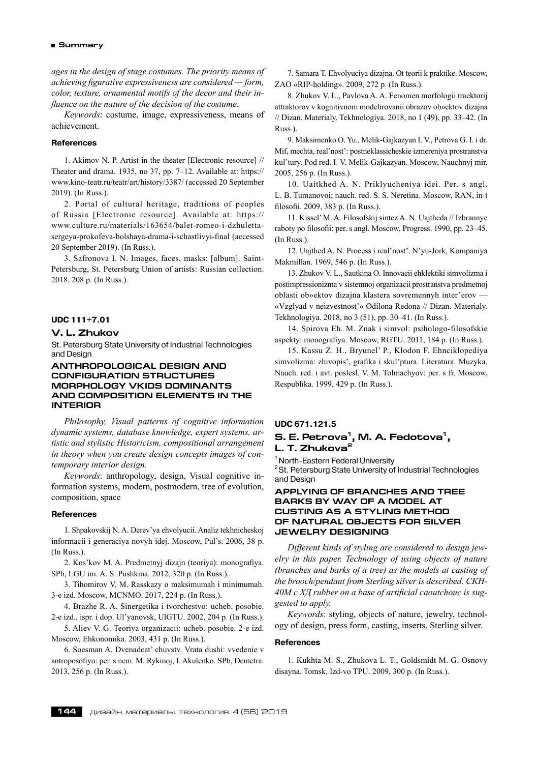*ages in the design of stage costumes. The priority means of achieving figurative expressiveness are considered — form, color, texture, ornamental motifs of the decor and their influence on the nature of the decision of the costume.*

*Keywords*: costume, image, expressiveness, means of achievement.

# **References**

1. Akimov N. P. Artist in the theater [Electronic resource] // Theater and drama. 1935, no 37, pp. 7–12. Available at: https:// www.kino-teatr.ru/teatr/art/history/3387/ (accessed 20 September 2019). (In Russ.).

2. Portal of cultural heritage, traditions of peoples of Russia [Electronic resource]. Available at: https:// www.culture.ru/materials/163654/balet-romeo-i-dzhulettasergeya-prokofeva-bolshaya-drama-i-schastlivyi-final (accessed 20 September 2019). (In Russ.).

3. Safronova I. N. Images, faces, masks: [album]. Saint-Petersburg, St. Petersburg Union of artists: Russian collection. 2018, 208 p. (In Russ.).

#### **UDC 111+7.01**

# **V. L. Zhukov**

St. Petersburg State University of Industrial Technologies and Design

# **ANTHROPOLOGICAL DESIGN AND CONFIGURATION STRUCTURES MORPHOLOGY VKIDS DOMINANTS AND COMPOSITION ELEMENTS IN THE INTERIOR**

*Philosophy, Visual patterns of cognitive information dynamic systems, database knowledge, expert systems, artistic and stylistic Historicism, compositional arrangement in theory when you create design concepts images of contemporary interior design.*

*Keywords*: anthropology, design, Visual cognitive information systems, modern, postmodern, tree of evolution, composition, space

#### **References**

1. Shpakovskij N. A. Derev'ya ehvolyucii. Analiz tekhnicheskoj informacii i generaciya novyh idej. Moscow, Pul's. 2006, 38 p. (In Russ.).

2. Kos'kov M. A. Predmetnyj dizajn (teoriya): monografiya. SPb, LGU im. A. S. Pushkina. 2012, 320 p. (In Russ.).

3. Tihomirov V. M. Rasskazy o maksimumah i minimumah. 3‑e izd. Moscow, MCNMO. 2017, 224 p. (In Russ.).

4. Brazhe R. A. Sinergetika i tvorchestvo: ucheb. posobie. 2‑e izd., ispr. i dop. Ul'yanovsk, UlGTU. 2002, 204 p. (In Russ.).

5. Aliev V. G. Teoriya organizacii: ucheb. posobie. 2‑e izd. Moscow, Ehkonomika. 2003, 431 p. (In Russ.).

6. Soesman A. Dvenadcat' chuvstv. Vrata dushi: vvedenie v antroposofiyu: per. s nem. M. Rykinoj, I. Akulenko. SPb, Demetra. 2013, 256 p. (In Russ.).

7. Samara T. Ehvolyuciya dizajna. Ot teorii k praktike. Moscow, ZAO «RIP-holding». 2009, 272 p. (In Russ.).

8. Zhukov V. L., Pavlova A. A. Fenomen morfologii traektorij attraktorov v kognitivnom modelirovanii obrazov ob»ektov dizajna // Dizan. Materialy. Tekhnologiya. 2018, no 1 (49), pp. 33–42. (In Russ.).

9. Maksimenko O. Yu., Melik-Gajkazyan I. V., Petrova G. I. i dr. Mif, mechta, real'nost': postneklassicheskie izmereniya prostranstva kul'tury. Pod red. I. V. Melik-Gajkazyan. Moscow, Nauchnyj mir. 2005, 256 p. (In Russ.).

10. Uaitkhed A. N. Priklyucheniya idei. Per. s angl. L. B. Tumanovoi; nauch. red. S. S. Neretina. Moscow, RAN, in-t filosofii. 2009, 383 p. (In Russ.).

11. Kissel' M. A. Filosofskij sintez A. N. Uajtheda // Izbrannye raboty po filosofii: per. s angl. Moscow, Progress. 1990, pp. 23–45. (In Russ.).

12. Uajthed A. N. Process i real'nost'. N'yu-Jork, Kompaniya Makmillan. 1969, 546 p. (In Russ.).

13. Zhukov V. L., Sautkina O. Innovacii ehklektiki simvolizma i postimpressionizma v sistemnoj organizacii prostranstva predmetnoj oblasti ob»ektov dizajna klastera sovremennyh inter'erov — «Vzglyad v neizvestnost'» Odilona Redona // Dizan. Materialy. Tekhnologiya. 2018, no 3 (51), pp. 30–41. (In Russ.).

14. Spirova Eh. M. Znak i simvol: psihologo-filosofskie aspekty: monografiya. Moscow, RGTU. 2011, 184 p. (In Russ.).

15. Kassu Z. H., Bryunel' P., Klodon F. Ehnciklopediya simvolizma: zhivopis', grafika i skul'ptura. Literatura. Muzyka. Nauch. red. i avt. poslesl. V. M. Tolmachyov: per. s fr. Moscow, Respublika. 1999, 429 p. (In Russ.).

# **UDC 671.121.5**

# **S. E. Petrova1, M. A. Fedotova1, L. T. Zhukova2**

<sup>1</sup> North-Eastern Federal University <sup>2</sup> St. Petersburg State University of Industrial Technologies and Design

# **APPLYING OF BRANCHES AND TREE BARKS BY WAY OF A MODEL AT CUSTING AS A STYLING METHOD OF NATURAL OBJECTS FOR SILVER JEWELRY DESIGNING**

*Different kinds of styling are considered to design jewelry in this paper. Technology of using objects of nature (branches and barks of a tree) as the models at casting of the brooch/pendant from Sterling silver is described. СКН-40М с ХД rubber on a base of artificial caoutchouc is suggested to apply.*

*Keywords*: styling, objects of nature, jewelry, technology of design, press form, casting, inserts, Sterling silver.

### **References**

1. Kukhta M. S., Zhukova L. T., Goldsmidt M. G. Osnovy disayna. Tomsk, Izd-vo TPU. 2009, 300 p. (In Russ.).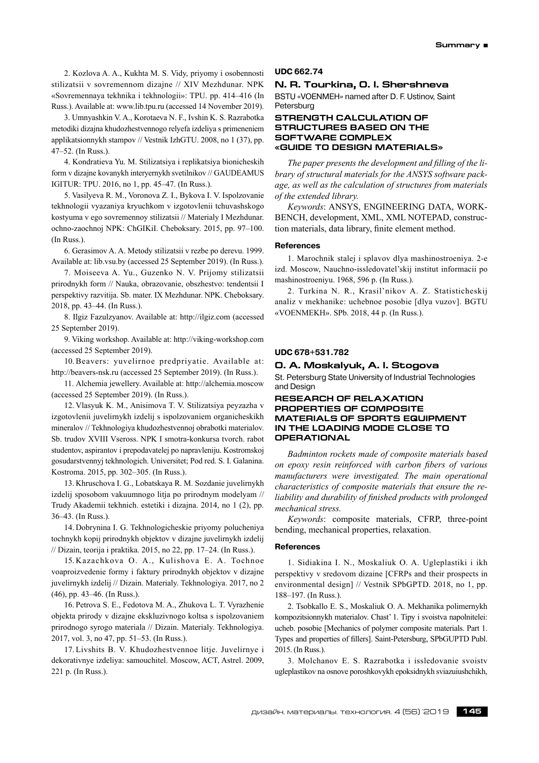2. Kozlova A. A., Kukhta M. S. Vidy, priyomy i osobennosti stilizatsii v sovremennom dizajne // XIV Mezhdunar. NPK «Sovremennaya tekhnika i tekhnologii»: TPU. pp. 414–416 (In Russ.). Available at: www.lib.tpu.ru (accessed 14 November 2019).

3. Umnyashkin V. A., Korotaeva N. F., Ivshin K. S. Razrabotka metodiki dizajna khudozhestvennogo relyefa izdeliya s primeneniem applikatsionnykh stampov // Vestnik IzhGTU. 2008, no 1 (37), pp. 47–52. (In Russ.).

4. Kondratieva Yu. M. Stilizatsiya i replikatsiya bionicheskih form v dizajne kovanykh interyernykh svetilnikov // GAUDEAMUS IGITUR: TPU. 2016, no 1, pp. 45–47. (In Russ.).

5. Vasilyeva R. M., Voronova Z. I., Bykova I. V. Ispolzovanie tekhnologii vyazaniya kryuchkom v izgotovlenii tchuvashskogo kostyuma v ego sovremennoy stilizatsii // Materialy I Mezhdunar. ochno-zaochnoj NPK: ChGIKiI. Cheboksary. 2015, pp. 97–100. (In Russ.).

6. Gerasimov A. A. Metody stilizatsii v rezbe po derevu. 1999. Available at: lib.vsu.by (accessed 25 September 2019). (In Russ.).

7. Moiseeva A. Yu., Guzenko N. V. Prijomy stilizatsii prirodnykh form // Nauka, obrazovanie, obszhestvo: tendentsii I perspektivy razvitija. Sb. mater. IX Mezhdunar. NPK. Cheboksary. 2018, pp. 43–44. (In Russ.).

8. Ilgiz Fazulzyanov. Available at: http://ilgiz.com (accessed 25 September 2019).

9. Viking workshop. Available at: http://viking-workshop.com (accessed 25 September 2019).

10.Beavers: yuvelirnoe predpriyatie. Available at: http://beavers-nsk.ru (accessed 25 September 2019). (In Russ.).

11. Alchemia jewellery. Available at: http://alchemia.moscow (accessed 25 September 2019). (In Russ.).

12. Vlasyuk K. M., Anisimova T. V. Stilizatsiya peyzazha v izgotovlenii juvelirnykh izdelij s ispolzovaniem organicheskikh mineralov // Tekhnologiya khudozhestvennoj obrabotki materialov. Sb. trudov XVIII Vseross. NPK I smotra-konkursa tvorch. rabot studentov, aspirantov i prepodavatelej po napravleniju. Kostromskoj gosudarstvennyj tekhnologich. Universitet; Pod red. S. I. Galanina. Kostroma. 2015, pp. 302–305. (In Russ.).

13. Khruschova I. G., Lobatskaya R. M. Sozdanie juvelirnykh izdelij sposobom vakuumnogo litja po prirodnym modelyam // Trudy Akademii tekhnich. estetiki i dizajna. 2014, no 1 (2), pp. 36–43. (In Russ.).

14. Dobrynina I. G. Tekhnologicheskie priyomy polucheniya tochnykh kopij prirodnykh objektov v dizajne juvelirnykh izdelij // Dizain, teorija i praktika. 2015, no 22, pp. 17–24. (In Russ.).

15. Kazachkova O. A., Kulishova E. A. Tochnoe voaproizvedenie formy i faktury prirodnykh objektov v dizajne juvelirnykh izdelij // Dizain. Materialy. Tekhnologiya. 2017, no 2 (46), pp. 43–46. (In Russ.).

16. Petrova S. E., Fedotova M. A., Zhukova L. T. Vyrazhenie objekta prirody v dizajne ekskluzivnogo koltsa s ispolzovaniem prirodnogo syrogo materiala // Dizain. Materialy. Tekhnologiya. 2017, vol. 3, no 47, pp. 51–53. (In Russ.).

17. Livshits B. V. Khudozhestvennoe litje. Juvelirnye i dekorativnye izdeliya: samouchitel. Moscow, ACT, Astrel. 2009, 221 p. (In Russ.).

### **UDC 662.74**

# **N. R. Tourkina, O. I. Shershneva**

BSTU «VOENMEH» named after D. F. Ustinov, Saint **Petersburg** 

# **STRENGTH CALCULATION OF STRUCTURES BASED ON THE SOFTWARE COMPLEX «GUIDE TO DESIGN MATERIALS»**

*The paper presents the development and filling of the library of structural materials for the ANSYS software package, as well as the calculation of structures from materials of the extended library.*

*Keywords*: ANSYS, ENGINEERING DATA, WORK-BENCH, development, XML, XML NOTEPAD, construction materials, data library, finite element method.

#### **References**

1. Marochnik stalej i splavov dlya mashinostroeniya. 2‑e izd. Moscow, Nauchno-issledovatel'skij institut informacii po mashinostroeniyu. 1968, 596 p. (In Russ.).

2. Turkina N. R., Krasil'nikov A. Z. Statisticheskij analiz v mekhanike: uchebnoe posobie [dlya vuzov]. BGTU «VOENMEKH». SPb. 2018, 44 p. (In Russ.).

#### **UDC 678+531.782**

#### **О. А. Moskalyuk, А. I. Stogova**

St. Petersburg State University of Industrial Technologies and Design

# **RESEARCH OF RELAXATION PROPERTIES OF COMPOSITE MATERIALS OF SPORTS EQUIPMENT IN THE LOADING MODE CLOSE TO OPERATIONAL**

*Badminton rockets made of composite materials based on epoxy resin reinforced with carbon fibers of various manufacturers were investigated. The main operational characteristics of composite materials that ensure the reliability and durability of finished products with prolonged mechanical stress.*

*Keywords*: composite materials, CFRP, three-point bending, mechanical properties, relaxation.

#### **References**

1. Sidiakina I. N., Moskaliuk O. A. Ugleplastiki i ikh perspektivy v sredovom dizaine [CFRPs and their prospects in environmental design] // Vestnik SPbGPTD. 2018, no 1, pp. 188–197. (In Russ.).

2. Tsobkallo E. S., Moskaliuk O. A. Mekhanika polimernykh kompozitsionnykh materialov. Chast' 1. Tipy i svoistva napolnitelei: ucheb. posobie [Mechanics of polymer composite materials. Part 1. Types and properties of fillers]. Saint-Petersburg, SPbGUPTD Publ. 2015. (In Russ.).

3. Molchanov E. S. Razrabotka i issledovanie svoistv ugleplastikov na osnove poroshkovykh epoksidnykh sviazuiushchikh,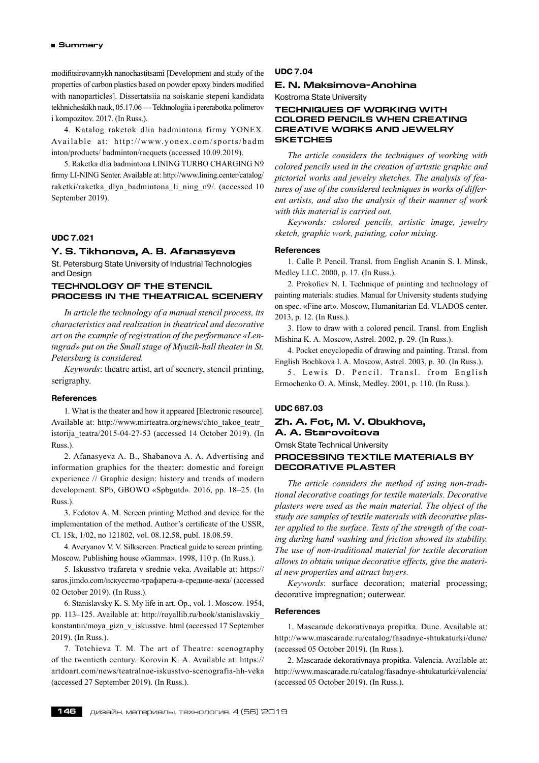modifitsirovannykh nanochastitsami [Development and study of the properties of carbon plastics based on powder epoxy binders modified with nanoparticles]. Dissertatsiia na soiskanie stepeni kandidata tekhnicheskikh nauk, 05.17.06 — Tekhnologiia i pererabotka polimerov i kompozitov. 2017. (In Russ.).

4. Katalog raketok dlia badmintona firmy YONEX. Available at: http://www.yonex.com/sports/badm inton/products/ badminton/racquets (accessed 10.09.2019).

5. Raketka dlia badmintona LINING TURBO CHARGING N9 firmy LI-NING Senter. Available at: http://www.lining.center/catalog/ raketki/raketka\_dlya\_badmintona\_li\_ning\_n9/. (accessed 10 September 2019).

# **UDC 7.021**

# **Y. S. Tikhonova, A. B. Afanasyeva**

St. Petersburg State University of Industrial Technologies and Design

# **TECHNOLOGY OF THE STENCIL PROCESS IN THE THEATRICAL SCENERY**

*In article the technology of a manual stencil process, its characteristics and realization in theatrical and decorative art on the example of registration of the performance «Leningrad» put on the Small stage of Myuzik-hall theater in St. Petersburg is considered.*

*Keywords*: theatre artist, art of scenery, stencil printing, serigraphy.

#### **References**

1. What is the theater and how it appeared [Electronic resource]. Available at: http://www.mirteatra.org/news/chto\_takoe\_teatr istorija teatra/2015‐04‐27‐53 (accessed 14 October 2019). (In Russ.).

2. Afanasyeva A. B., Shabanova A. A. Advertising and information graphics for the theater: domestic and foreign experience // Graphic design: history and trends of modern development. SPb, GBOWO «Spbgutd». 2016, pp. 18–25. (In Russ.).

3. Fedotov A. M. Screen printing Method and device for the implementation of the method. Author's certificate of the USSR, Cl. 15k, 1/02, no 121802, vol. 08.12.58, publ. 18.08.59.

4. Averyanov V. V. Silkscreen. Practical guide to screen printing. Moscow, Publishing house «Gamma». 1998, 110 p. (In Russ.).

5. Iskusstvo trafareta v srednie veka. Available at: https:// saros.jimdo.com/искусство-трафарета-в-средние-века/ (accessed 02 October 2019). (In Russ.).

6. Stanislavsky K. S. My life in art. Op., vol. 1. Moscow. 1954, pp. 113–125. Available at: http://royallib.ru/book/stanislavskiy\_ konstantin/moya\_gizn\_v\_iskusstve. html (accessed 17 September 2019). (In Russ.).

7. Totchieva T. M. The art of Theatre: scenography of the twentieth century. Korovin K. А. Available at: https:// artdoart.com/news/teatralnoe-iskusstvo-scenografia-hh-veka (accessed 27 September 2019). (In Russ.).

# **UDC 7.04**

# **E. N. Maksimova-Anohina**

Kostroma State University

# **TECHNIQUES OF WORKING WITH COLORED PENCILS WHEN CREATING CREATIVE WORKS AND JEWELRY SKETCHES**

*The article considers the techniques of working with colored pencils used in the creation of artistic graphic and pictorial works and jewelry sketches. The analysis of features of use of the considered techniques in works of different artists, and also the analysis of their manner of work with this material is carried out.*

*Keywords: colored pencils, artistic image, jewelry sketch, graphic work, painting, color mixing.*

#### **References**

1. Calle P. Pencil. Transl. from English Ananin S. I. Minsk, Medley LLC. 2000, p. 17. (In Russ.).

2. Prokofiev N. I. Technique of painting and technology of painting materials: studies. Manual for University students studying on spec. «Fine art». Moscow, Humanitarian Ed. VLADOS center. 2013, p. 12. (In Russ.).

3. How to draw with a colored pencil. Transl. from English Mishina K. A. Moscow, Astrel. 2002, p. 29. (In Russ.).

4. Pocket encyclopedia of drawing and painting. Transl. from English Bochkova I. A. Moscow, Astrel. 2003, p. 30. (In Russ.).

5. Lewis D. Pencil. Transl. from English Ermochenko O. A. Minsk, Medley. 2001, p. 110. (In Russ.).

#### **UDC 687.03**

# **Zh. A. Fot, M. V. Obukhova, A. A. Starovoitova**

Omsk State Technical University

# **PROCESSING TEXTILE MATERIALS BY DECORATIVE PLASTER**

*The article considers the method of using non-traditional decorative coatings for textile materials. Decorative plasters were used as the main material. The object of the study are samples of textile materials with decorative plaster applied to the surface. Tests of the strength of the coating during hand washing and friction showed its stability. The use of non-traditional material for textile decoration allows to obtain unique decorative effects, give the material new properties and attract buyers.*

*Keywords*: surface decoration; material processing; decorative impregnation; outerwear.

### **References**

1. Mascarade dekorativnaya propitka. Dune. Available at: http://www.mascarade.ru/catalog/fasadnye-shtukaturki/dune/ (accessed 05 October 2019). (In Russ.).

2. Mascarade dekorativnaya propitka. Valencia. Available at: http://www.mascarade.ru/catalog/fasadnye-shtukaturki/valencia/ (accessed 05 October 2019). (In Russ.).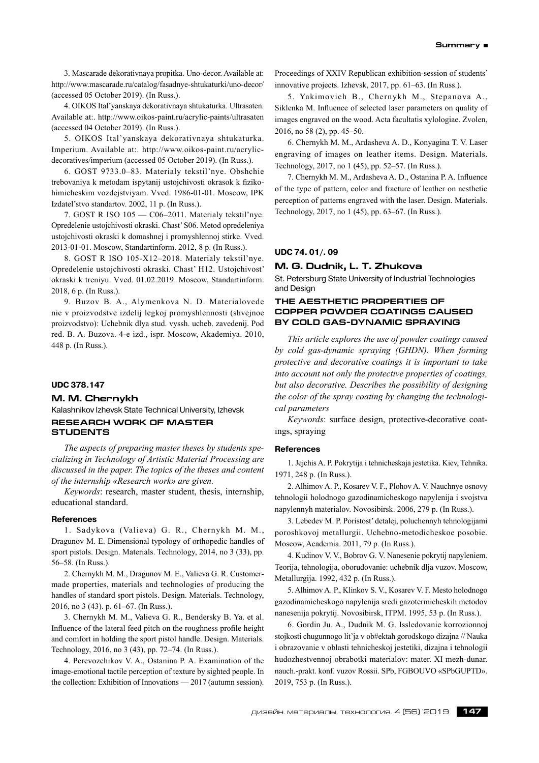3. Mascarade dekorativnaya propitka. Uno-decor. Available at: http://www.mascarade.ru/catalog/fasadnye-shtukaturki/uno-decor/ (accessed 05 October 2019). (In Russ.).

4. OIKOS Ital'yanskaya dekorativnaya shtukaturka. Ultrasaten. Available at:. http://www.oikos-paint.ru/acrylic-paints/ultrasaten (accessed 04 October 2019). (In Russ.).

5. OIKOS Ital'yanskaya dekorativnaya shtukaturka. Imperium. Available at:. http://www.oikos-paint.ru/acrylicdecoratives/imperium (accessed 05 October 2019). (In Russ.).

6. GOST 9733.0–83. Materialy tekstil'nye. Obshchie trebovaniya k metodam ispytanij ustojchivosti okrasok k fizikohimicheskim vozdejstviyam. Vved. 1986‑01‑01. Moscow, IPK Izdatel'stvo standartov. 2002, 11 p. (In Russ.).

7. GOST R ISO 105 — C06–2011. Materialy tekstil'nye. Opredelenie ustojchivosti okraski. Chast' S06. Metod opredeleniya ustojchivosti okraski k domashnej i promyshlennoj stirke. Vved. 2013‑01‑01. Moscow, Standartinform. 2012, 8 p. (In Russ.).

8. GOST R ISO 105‑X12–2018. Materialy tekstil'nye. Opredelenie ustojchivosti okraski. Chast' H12. Ustojchivost' okraski k treniyu. Vved. 01.02.2019. Moscow, Standartinform. 2018, 6 p. (In Russ.).

9. Buzov B. A., Alymenkova N. D. Materialovede nie v proizvodstve izdelij legkoj promyshlennosti (shvejnoe proizvodstvo): Uchebnik dlya stud. vyssh. ucheb. zavedenij. Pod red. B. A. Buzova. 4‑e izd., ispr. Moscow, Akademiya. 2010, 448 p. (In Russ.).

# **UDC 378.147**

#### **M. M. Chernykh**

Kalashnikov Izhevsk State Technical University, Izhevsk **RESEARCH WORK OF MASTER STUDENTS**

*The aspects of preparing master theses by students specializing in Technology of Artistic Material Processing are discussed in the paper. The topics of the theses and content of the internship «Research work» are given.*

*Keywords*: research, master student, thesis, internship, educational standard.

### **References**

1. Sadykova (Valieva) G. R., Chernykh М. М., Dragunov М. Е. Dimensional typology of orthopedic handles of sport pistols. Design. Materials. Technology, 2014, no 3 (33), pp. 56–58. (In Russ.).

2. Chernykh М. М., Dragunov М. Е., Valieva G. R. Customermade properties, materials and technologies of producing the handles of standard sport pistols. Design. Materials. Technology, 2016, no 3 (43). p. 61–67. (In Russ.).

3. Chernykh М. М., Valieva G. R., Bendersky B. Ya. et al. Influence of the lateral feed pitch on the roughness profile height and comfort in holding the sport pistol handle. Design. Materials. Technology, 2016, no 3 (43), pp. 72–74. (In Russ.).

4. Perevozchikov V. A., Ostanina P. A. Examination of the image-emotional tactile perception of texture by sighted people. In the collection: Exhibition of Innovations — 2017 (autumn session). Proceedings of XXIV Republican exhibition-session of students' innovative projects. Izhevsk, 2017, pp. 61–63. (In Russ.).

5. Yakimovich B., Chernykh M., Stepanova A., Siklenka M. Influence of selected laser parameters on quality of images engraved on the wood. Acta facultatis xylologiae. Zvolen, 2016, no 58 (2), pp. 45–50.

6. Chernykh М. М., Ardasheva A. D., Konyagina T. V. Laser engraving of images on leather items. Design. Materials. Technology, 2017, no 1 (45), pp. 52–57. (In Russ.).

7. Chernykh М. М., Ardasheva A. D., Ostanina P. A. Influence of the type of pattern, color and fracture of leather on aesthetic perception of patterns engraved with the laser. Design. Materials. Technology, 2017, no 1 (45), pp. 63–67. (In Russ.).

# **UDC 74. 01/. 09**

#### **M. G. Dudnik, L. T. Zhukova**

St. Petersburg State University of Industrial Technologies and Design

# **THE AESTHETIC PROPERTIES OF COPPER POWDER COATINGS CAUSED BY COLD GAS-DYNAMIC SPRAYING**

*This article explores the use of powder coatings caused by cold gas-dynamic spraying (GHDN). When forming protective and decorative coatings it is important to take into account not only the protective properties of coatings, but also decorative. Describes the possibility of designing the color of the spray coating by changing the technological parameters*

*Keywords*: surface design, protective-decorative coatings, spraying

#### **References**

1. Jejchis A. P. Pokrytija i tehnicheskaja jestetika. Kiev, Tehnika. 1971, 248 p. (In Russ.).

2. Alhimov A. P., Kosarev V. F., Plohov A. V. Nauchnye osnovy tehnologii holodnogo gazodinamicheskogo napylenija i svojstva napylennyh materialov. Novosibirsk. 2006, 279 p. (In Russ.).

3. Lebedev M. P. Poristost' detalej, poluchennyh tehnologijami poroshkovoj metallurgii. Uchebno-metodicheskoe posobie. Moscow, Academia. 2011, 79 p. (In Russ.).

4. Kudinov V. V., Bobrov G. V. Nanesenie pokrytij napyleniem. Teorija, tehnologija, oborudovanie: uchebnik dlja vuzov. Moscow, Metallurgija. 1992, 432 p. (In Russ.).

5. Alhimov A. P., Klinkov S. V., Kosarev V. F. Mesto holodnogo gazodinamicheskogo napylenija sredi gazotermicheskih metodov nanesenija pokrytij. Novosibirsk, ITPM. 1995, 53 p. (In Russ.).

6. Gordin Ju. A., Dudnik M. G. Issledovanie korrozionnoj stojkosti chugunnogo lit'ja v ob#ektah gorodskogo dizajna // Nauka i obrazovanie v oblasti tehnicheskoj jestetiki, dizajna i tehnologii hudozhestvennoj obrabotki materialov: mater. XI mezh-dunar. nauch.‑prakt. konf. vuzov Rossii. SPb, FGBOUVO «SPbGUPTD». 2019, 753 p. (In Russ.).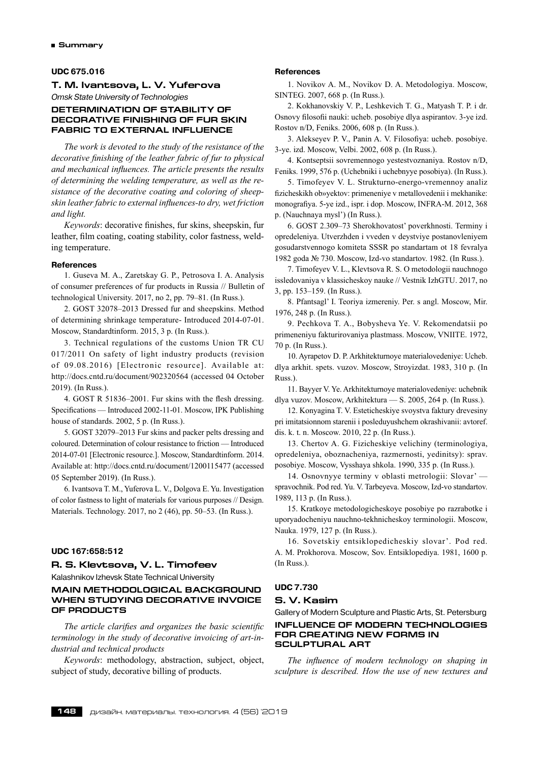### **UDC 675.016**

# **T. M. Ivantsova, L. V. Yuferova**

*Omsk State University of Technologies*

# **DETERMINATION OF STABILITY OF DECORATIVE FINISHING OF FUR SKIN FABRIC TO EXTERNAL INFLUENCE**

*The work is devoted to the study of the resistance of the decorative finishing of the leather fabric of fur to physical and mechanical influences. The article presents the results of determining the welding temperature, as well as the resistance of the decorative coating and coloring of sheepskin leather fabric to external influences-to dry, wet friction and light.*

*Keywords*: decorative finishes, fur skins, sheepskin, fur leather, film coating, coating stability, color fastness, welding temperature.

# **References**

1. Guseva M. A., Zaretskаy G. P., Petrosovа I. A. Analysis of consumer preferences of fur products in Russia // Bulletin of technological University. 2017, no 2, pp. 79–81. (In Russ.).

2. GOST 32078–2013 Dressed fur and sheepskins. Method of determining shrinkage temperature- Introduced 2014‑07‑01. Moscow, Standardtinform. 2015, 3 p. (In Russ.).

3. Technical regulations of the customs Union TR CU 017/2011 On safety of light industry products (revision of 09.08.2016) [Electronic resource]. Available at: http://docs.cntd.ru/document/902320564 (accessed 04 October 2019). (In Russ.).

4. GOST R 51836–2001. Fur skins with the flesh dressing. Specifications — Introduced 2002‑11‑01. Moscow, IPK Publishing house of standards. 2002, 5 p. (In Russ.).

5. GOST 32079–2013 Fur skins and packer pelts dressing and coloured. Determination of colour resistance to friction — Introduced 2014‑07‑01 [Electronic resource.]. Moscow, Standardtinform. 2014. Available at: http://docs.cntd.ru/document/1200115477 (accessed 05 September 2019). (In Russ.).

6. Ivantsova T. M., Yuferova L. V., Dolgova E. Yu. Investigation of color fastness to light of materials for various purposes // Design. Materials. Technology. 2017, no 2 (46), pp. 50–53. (In Russ.).

### **UDC 167:658:512**

# **R. S. Klevtsova, V. L. Timofeev**

Kalashnikov Izhevsk State Technical University

# **MAIN METHODOLOGICAL BACKGROUND WHEN STUDYING DECORATIVE INVOICE OF PRODUCTS**

*The article clarifies and organizes the basic scientific terminology in the study of decorative invoicing of art-industrial and technical products*

*Keywords*: methodology, abstraction, subject, object, subject of study, decorative billing of products.

#### **References**

1. Novikov A. M., Novikov D. A. Metodologiya. Moscow, SINTEG. 2007, 668 p. (In Russ.).

2. Kokhanovskiy V. P., Leshkevich T. G., Matyash T. P. i dr. Osnovy filosofii nauki: ucheb. posobiye dlya aspirantov. 3‑ye izd. Rostov n/D, Feniks. 2006, 608 p. (In Russ.).

3. Alekseyev P. V., Panin A. V. Filosofiya: ucheb. posobiye. 3‑ye. izd. Moscow, Velbi. 2002, 608 p. (In Russ.).

4. Kontseptsii sovremennogo yestestvoznaniya. Rostov n/D, Feniks. 1999, 576 p. (Uchebniki i uchebnyye posobiya). (In Russ.).

5. Timofeyev V. L. Strukturno-energo-vremennoy analiz fizicheskikh ob»yektov: primeneniye v metallovedenii i mekhanike: monografiya. 5‑ye izd., ispr. i dop. Moscow, INFRA-M. 2012, 368 p. (Nauchnaya mysl') (In Russ.).

6. GOST 2.309–73 Sherokhovatost' poverkhnosti. Terminy i opredeleniya. Utverzhden i vveden v deystviye postanovleniyem gosudarstvennogo komiteta SSSR po standartam ot 18 fevralya 1982 goda № 730. Moscow, Izd-vo standartov. 1982. (In Russ.).

7. Timofeyev V. L., Klevtsova R. S. O metodologii nauchnogo issledovaniya v klassicheskoy nauke // Vestnik IzhGTU. 2017, no 3, pp. 153–159. (In Russ.).

8. Pfantsagl' I. Teoriya izmereniy. Per. s angl. Moscow, Mir. 1976, 248 p. (In Russ.).

9. Pechkova T. A., Bobysheva Ye. V. Rekomendatsii po primeneniyu fakturirovaniya plastmass. Moscow, VNIITE. 1972, 70 p. (In Russ.).

10. Ayrapetov D. P. Arkhitekturnoye materialovedeniye: Ucheb. dlya arkhit. spets. vuzov. Moscow, Stroyizdat. 1983, 310 p. (In Russ.).

11. Bayyer V. Ye. Arkhitekturnoye materialovedeniye: uchebnik dlya vuzov. Moscow, Arkhitektura — S. 2005, 264 p. (In Russ.).

12. Konyagina T. V. Esteticheskiye svoystva faktury drevesiny pri imitatsionnom starenii i posleduyushchem okrashivanii: avtoref. dis. k. t. n. Moscow. 2010, 22 p. (In Russ.).

13. Chertov A. G. Fizicheskiye velichiny (terminologiya, opredeleniya, oboznacheniya, razmernosti, yedinitsy): sprav. posobiye. Moscow, Vysshaya shkola. 1990, 335 p. (In Russ.).

14. Osnovnyye terminy v oblasti metrologii: Slovar' spravochnik. Pod red. Yu. V. Tarbeyeva. Moscow, Izd-vo standartov. 1989, 113 p. (In Russ.).

15. Kratkoye metodologicheskoye posobiye po razrabotke i uporyadocheniyu nauchno-tekhnicheskoy terminologii. Moscow, Nauka. 1979, 127 p. (In Russ.).

16. Sovetskiy entsiklopedicheskiy slovar'. Pod red. A. M. Prokhorova. Moscow, Sov. Entsiklopediya. 1981, 1600 p. (In Russ.).

# **UDC 7.730**

# **S. V. Kasim**

Gallery of Modern Sculpture and Plastic Arts, St. Petersburg **INFLUENCE OF MODERN TECHNOLOGIES FOR CREATING NEW FORMS IN SCULPTURAL ART**

*The influence of modern technology on shaping in sculpture is described. How the use of new textures and*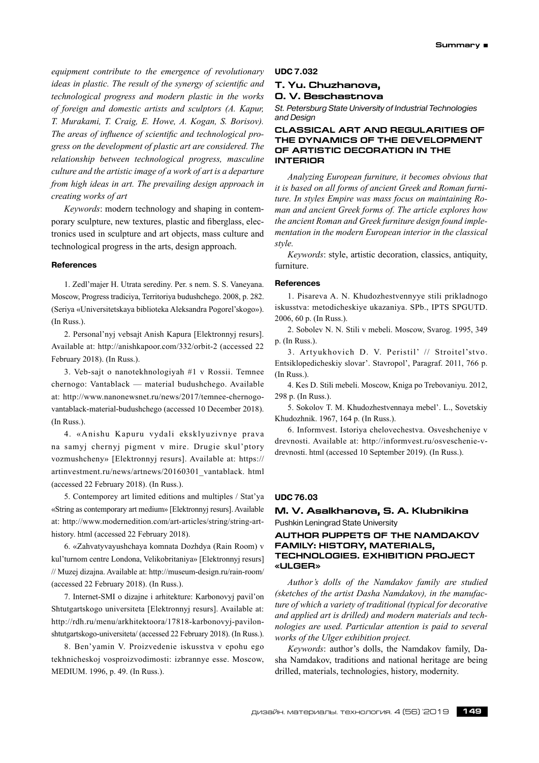*equipment contribute to the emergence of revolutionary ideas in plastic. The result of the synergy of scientific and technological progress and modern plastic in the works of foreign and domestic artists and sculptors (A. Kapur, T. Murakami, T. Craig, E. Howe, A. Kogan, S. Borisov). The areas of influence of scientific and technological progress on the development of plastic art are considered. The relationship between technological progress, masculine culture and the artistic image of a work of art is a departure from high ideas in art. The prevailing design approach in creating works of art*

*Keywords*: modern technology and shaping in contemporary sculpture, new textures, plastic and fiberglass, electronics used in sculpture and art objects, mass culture and technological progress in the arts, design approach.

### **References**

1. Zedl'majer H. Utrata serediny. Per. s nem. S. S. Vaneyana. Moscow, Progress tradiciya, Territoriya budushchego. 2008, p. 282. (Seriya «Universitetskaya biblioteka Aleksandra Pogorel'skogo»). (In Russ.).

2. Personal'nyj vebsajt Anish Kapura [Elektronnyj resurs]. Available at: http://anishkapoor.com/332/orbit-2 (accessed 22 February 2018). (In Russ.).

3. Veb-sajt o nanotekhnologiyah #1 v Rossii. Temnee chernogo: Vantablack — material budushchego. Available at: http://www.nanonewsnet.ru/news/2017/temnee-chernogovantablack-material-budushchego (accessed 10 December 2018). (In Russ.).

4. «Anishu Kapuru vydali eksklyuzivnye prava na samyj chernyj pigment v mire. Drugie skul'ptory vozmushcheny» [Elektronnyj resurs]. Available at: https:// artinvestment.ru/news/artnews/20160301\_vantablack. html (accessed 22 February 2018). (In Russ.).

5. Contemporey art limited editions and multiples / Stat'ya «String as contemporary art medium» [Elektronnyj resurs]. Available at: http://www.modernedition.com/art-articles/string/string-arthistory. html (accessed 22 February 2018).

6. «Zahvatyvayushchaya komnata Dozhdya (Rain Room) v kul'turnom centre Londona, Velikobritaniya» [Elektronnyj resurs] // Muzej dizajna. Available at: http://museum-design.ru/rain-room/ (accessed 22 February 2018). (In Russ.).

7. Internet-SMI o dizajne i arhitekture: Karbonovyj pavil'on Shtutgartskogo universiteta [Elektronnyj resurs]. Available at: http://rdh.ru/menu/arkhitektoora/17818‑karbonovyj-pavilonshtutgartskogo-universiteta/ (accessed 22 February 2018). (In Russ.).

8. Ben'yamin V. Proizvedenie iskusstva v epohu ego tekhnicheskoj vosproizvodimosti: izbrannye esse. Moscow, MEDIUM. 1996, р. 49. (In Russ.).

# **UDC 7.032**

# **T. Yu. Chuzhanova, O. V. Beschastnova**

*St. Petersburg State University of Industrial Technologies and Design*

# **Classical art and regularities of the dynamics of the development of artistic decoration in the interior**

*Analyzing European furniture, it becomes obvious that it is based on all forms of ancient Greek and Roman furniture. In styles Empire was mass focus on maintaining Roman and ancient Greek forms of. The article explores how the ancient Roman and Greek furniture design found implementation in the modern European interior in the classical style.*

*Keywords*: style, artistic decoration, classics, antiquity, furniture.

### **References**

1. Pisareva A. N. Khudozhestvennyye stili prikladnogo iskusstva: metodicheskiye ukazaniya. SPb., IPTS SPGUTD. 2006, 60 p. (In Russ.).

2. Sobolev N. N. Stili v mebeli. Moscow, Svarog. 1995, 349 p. (In Russ.).

3. Artyukhovich D. V. Peristil' // Stroitel'stvo. Entsiklopedicheskiy slovar'. Stavropol', Paragraf. 2011, 766 p. (In Russ.).

4. Kes D. Stili mebeli. Moscow, Kniga po Trebovaniyu. 2012, 298 p. (In Russ.).

5. Sokolov T. M. Khudozhestvennaya mebel'. L., Sovetskiy Khudozhnik. 1967, 164 p. (In Russ.).

6. Informvest. Istoriya chelovechestva. Osveshcheniye v drevnosti. Available at: http://informvest.ru/osveschenie-vdrevnosti. html (accessed 10 September 2019). (In Russ.).

# **UDC 76.03**

# **M. V. Asalkhanova, S. A. Klubnikina** Pushkin Leningrad State University

# **AUTHOR PUPPETS OF THE NAMDAKOV FAMILY: HISTORY, MATERIALS, TECHNOLOGIES. EXHIBITION PROJECT «ULGER»**

*Author's dolls of the Namdakov family are studied (sketches of the artist Dasha Namdakov), in the manufacture of which a variety of traditional (typical for decorative and applied art is drilled) and modern materials and technologies are used. Particular attention is paid to several works of the Ulger exhibition project.*

*Keywords*: author's dolls, the Namdakov family, Dasha Namdakov, traditions and national heritage are being drilled, materials, technologies, history, modernity.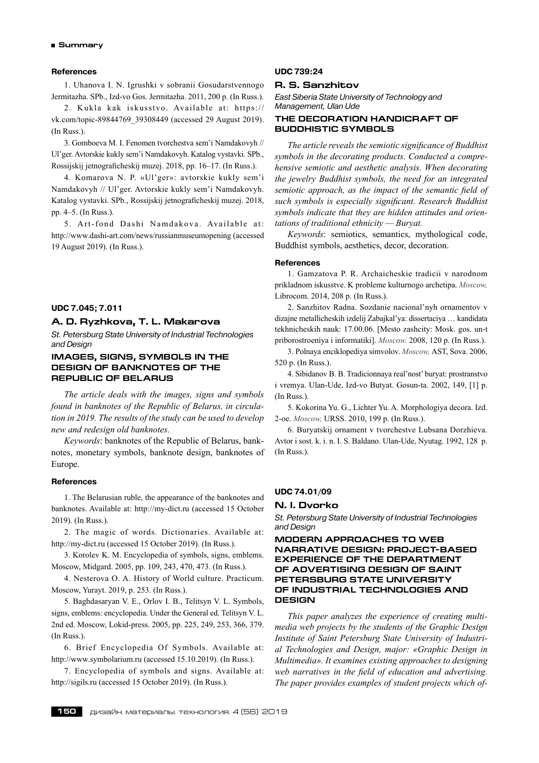# **References**

1. Uhanova I. N. Igrushki v sobranii Gosudarstvennogo Jermitazha. SPb., Izd-vo Gos. Jermitazha. 2011, 200 p. (In Russ.).

2. Kukla kak iskusstvo. Available at: https:// vk.com/topic-89844769\_39308449 (accessed 29 August 2019). (In Russ.).

3. Gomboeva M. I. Fenomen tvorchestva sem'i Namdakovyh // Ul'ger. Avtorskie kukly sem'i Namdakovyh. Katalog vystavki. SPb., Rossijskij jetnograficheskij muzej. 2018, pp. 16–17. (In Russ.).

4. Komarova N. P. «Ul'ger»: avtorskie kukly sem'i Namdakovyh // Ul'ger. Avtorskie kukly sem'i Namdakovyh. Katalog vystavki. SPb., Rossijskij jetnograficheskij muzej. 2018, pp. 4–5. (In Russ.).

5. Art-fond Dashi Namdakova. Available at: http://www.dashi-art.com/news/russianmuseumopening (accessed 19 August 2019). (In Russ.).

## **UDC 7.045; 7.011**

# **A. D. Ryzhkova, T. L. Makarova**

*St. Petersburg State University of Industrial Technologies and Design*

# **Images, signs, symbols in the design of banknotes of the Republic of Belarus**

*The article deals with the images, signs and symbols found in banknotes of the Republic of Belarus, in circulation in 2019. The results of the study can be used to develop new and redesign old banknotes.*

*Keywords*: banknotes of the Republic of Belarus, banknotes, monetary symbols, banknote design, banknotes of Europe.

### **References**

1. The Belarusian ruble, the appearance of the banknotes and banknotes. Available at: http://my-dict.ru (accessed 15 October 2019). (In Russ.).

2. The magic of words. Dictionaries. Available at: http://my-dict.ru (accessed 15 October 2019). (In Russ.).

3. Korolev K. M. Encyclopedia of symbols, signs, emblems. Moscow, Midgard. 2005, pp. 109, 243, 470, 473. (In Russ.).

4. Nesterova O. A. History of World culture. Practicum. Moscow, Yurayt. 2019, p. 253. (In Russ.).

5. Baghdasaryan V. E., Orlov I. B., Telitsyn V. L. Symbols, signs, emblems: encyclopedia. Under the General ed. Telitsyn V. L. 2nd ed. Moscow, Lokid-press. 2005, pp. 225, 249, 253, 366, 379. (In Russ.).

6. Brief Encyclopedia Of Symbols. Available at: http://www.symbolarium.ru (accessed 15.10.2019). (In Russ.).

7. Encyclopedia of symbols and signs. Available at: http://sigils.ru (accessed 15 October 2019). (In Russ.).

### **UDC 739:24**

### **R. S. Sanzhitov**

*East Siberia State University of Technology and Management, Ulan Ude*

# **THE DECORATION HANDICRAFT OF BUDDHISTIC SYMBOLS**

*The article reveals the semiotic significance of Buddhist symbols in the decorating products. Conducted a comprehensive semiotic and aesthetic analysis. When decorating the jewelry Buddhist symbols, the need for an integrated semiotic approach, as the impact of the semantic field of such symbols is especially significant. Research Buddhist symbols indicate that they are hidden attitudes and orientations of traditional ethnicity — Buryat.*

*Keywords*: semiotics, semantics, mythological code, Buddhist symbols, aesthetics, decor, decoration.

#### **References**

1. Gamzatova P. R. Archaicheskie tradicii v narodnom prikladnom iskusstve. K probleme kulturnogo archetipa. *Moscow,* Librocom. 2014, 208 p. (In Russ.).

2. Sanzhitov Radna. Sozdanie nacional'nyh ornamentov v dizajne metallicheskih izdelij Zabajkal'ya: dissertaciya … kandidata tekhnicheskih nauk: 17.00.06. [Mesto zashcity: Mosk. gos. un-t priborostroeniya i informatiki]. *Moscow.* 2008, 120 p. (In Russ.).

3. Polnaya enciklopediya simvolov. *Moscow,* AST, Sova. 2006, 520 p. (In Russ.).

4. Sibidanov B. B. Tradicionnaya real'nost' buryat: prostranstvo i vremya. Ulan-Ude, Izd-vo Butyat. Gosun-ta. 2002, 149, [1] p. (In Russ.).

5. Kokorina Yu. G., Lichter Yu. A. Morphologiya decora. Izd. 2‑oe. *Moscow,* URSS. 2010, 199 p. (In Russ.).

6. Buryatskij ornament v tvorchestve Lubsana Dorzhieva. Avtor i sost. k. i. n. I. S. Baldano. Ulan-Ude, Nyutag. 1992, 128 p. (In Russ.).

# **UDC 74.01/09**

#### **N. I. Dvorko**

*St. Petersburg State University of Industrial Technologies and Design*

**MODERN APPROACHES TO WEB NARRATIVE DESIGN: PROJECT-BASED EXPERIENCE OF THE DEPARTMENT OF ADVERTISING DESIGN OF SAINT PETERSBURG STATE UNIVERSITY OF INDUSTRIAL TECHNOLOGIES AND DESIGN**

*This paper analyzes the experience of creating multimedia web projects by the students of the Graphic Design Institute of Saint Petersburg State University of Industrial Technologies and Design, major: «Graphic Design in Multimedia». It examines existing approaches to designing web narratives in the field of education and advertising. The paper provides examples of student projects which of-*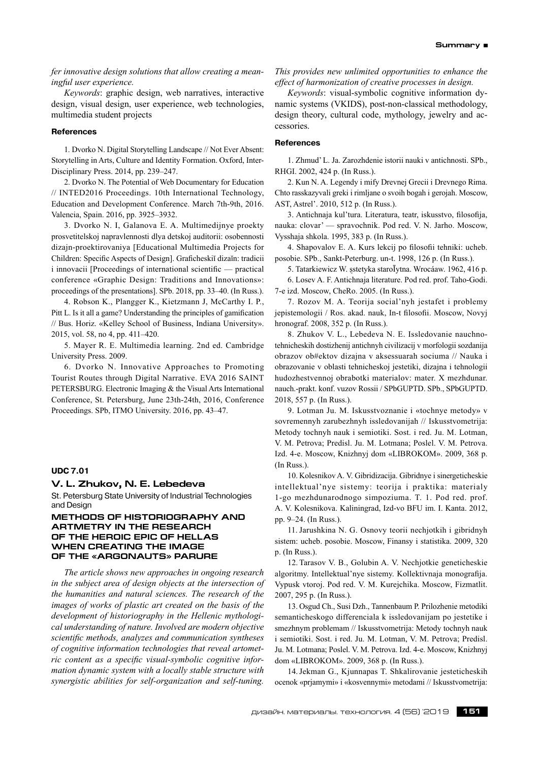*fer innovative design solutions that allow creating a meaningful user experience.*

*Keywords*: graphic design, web narratives, interactive design, visual design, user experience, web technologies, multimedia student projects

#### **References**

1. Dvorko N. Digital Storytelling Landscape // Not Ever Absent: Storytelling in Arts, Culture and Identity Formation. Oxford, Inter-Disciplinary Press. 2014, pp. 239–247.

2. Dvorko N. The Potential of Web Documentary for Education // INTED2016 Proceedings. 10th International Technology, Education and Development Conference. March 7th-9th, 2016. Valencia, Spain. 2016, pp. 3925–3932.

3. Dvorko N. I, Galanova E. A. Multimedijnye proekty prosvetitelskoj napravlennosti dlya detskoj auditorii: osobennosti dizajn-proektirovaniya [Educational Multimedia Projects for Children: Specific Aspects of Design]. Graficheskiĭ dizaĭn: tradicii i innovacii [Proceedings of international scientific — practical conference «Graphic Design: Traditions and Innovations»: proceedings of the presentations]. SPb. 2018, pp. 33–40. (In Russ.).

4. Robson K., Plangger K., Kietzmann J, McCarthy I. P., Pitt L. Is it all a game? Understanding the principles of gamification // Bus. Horiz. «Kelley School of Business, Indiana University». 2015, vol. 58, no 4, pp. 411–420.

5. Mayer R. E. Multimedia learning. 2nd ed. Cambridge University Press. 2009.

6. Dvorko N. Innovative Approaches to Promoting Tourist Routes through Digital Narrative. EVA 2016 SAINT PETERSBURG. Electronic Imaging & the Visual Arts International Conference, St. Petersburg, June 23th-24th, 2016, Conference Proceedings. SPb, ITMO University. 2016, pp. 43–47.

### **UDC 7.01**

#### **V. L. Zhukov, N. E. Lebedeva**

St. Petersburg State University of Industrial Technologies and Design

# **METHODS OF HISTORIOGRAPHY AND ARTMETRY IN THE RESEARCH OF THE HEROIC EPIC OF HELLAS WHEN CREATING THE IMAGE OF THE «ARGONAUTS» PARURE**

*The article shows new approaches in ongoing research in the subject area of design objects at the intersection of the humanities and natural sciences. The research of the images of works of plastic art created on the basis of the development of historiography in the Hellenic mythological understanding of nature. Involved are modern objective scientific methods, analyzes and communication syntheses of cognitive information technologies that reveal artometric content as a specific visual-symbolic cognitive information dynamic system with a locally stable structure with synergistic abilities for self-organization and self-tuning.*

*This provides new unlimited opportunities to enhance the effect of harmonization of creative processes in design.*

*Keywords*: visual-symbolic cognitive information dynamic systems (VKIDS), post-non-classical methodology, design theory, cultural code, mythology, jewelry and accessories.

# **References**

1. Zhmud' L. Ja. Zarozhdenie istorii nauki v antichnosti. SPb., RHGI. 2002, 424 p. (In Russ.).

2. Kun N. A. Legendy i mify Drevnej Grecii i Drevnego Rima. Chto rasskazyvali greki i rimljane o svoih bogah i gerojah. Moscow, AST, Astrel'. 2010, 512 p. (In Russ.).

3. Antichnaja kul'tura. Literatura, teatr, iskusstvo, filosofija, nauka: clovar' — spravochnik. Pod red. V. N. Jarho. Moscow, Vysshaja shkola. 1995, 383 p. (In Russ.).

4. Shapovalov E. A. Kurs lekcij po filosofii tehniki: ucheb. posobie. SPb., Sankt-Peterburg. un-t. 1998, 126 p. (In Russ.).

5. Tatarkiewicz W. ȿstetyka staroĪytna. Wrocáaw. 1962, 416 p. 6. Losev A. F. Antichnaja literature. Pod red. prof. Taho-Godi. 7‑e izd. Moscow, CheRo. 2005. (In Russ.).

7. Rozov M. A. Teorija social'nyh jestafet i problemy jepistemologii / Ros. akad. nauk, In-t filosofii. Moscow, Novyj hronograf. 2008, 352 p. (In Russ.).

8. Zhukov V. L., Lebedeva N. E. Issledovanie nauchnotehnicheskih dostizhenij antichnyh civilizacij v morfologii sozdanija obrazov ob#ektov dizajna v aksessuarah sociuma // Nauka i obrazovanie v oblasti tehnicheskoj jestetiki, dizajna i tehnologii hudozhestvennoj obrabotki materialov: mater. X mezhdunar. nauch.‑prakt. konf. vuzov Rossii / SPbGUPTD. SPb., SPbGUPTD. 2018, 557 p. (In Russ.).

9. Lotman Ju. M. Iskusstvoznanie i «tochnye metody» v sovremennyh zarubezhnyh issledovanijah // Iskusstvometrija: Metody tochnyh nauk i semiotiki. Sost. i red. Ju. M. Lotman, V. M. Petrova; Predisl. Ju. M. Lotmana; Poslel. V. M. Petrova. Izd. 4‑e. Moscow, Knizhnyj dom «LIBROKOM». 2009, 368 p. (In Russ.).

10. Kolesnikov A. V. Gibridizacija. Gibridnye i sinergeticheskie intellektual'nye sistemy: teorija i praktika: materialy 1‑go mezhdunarodnogo simpoziuma. T. 1. Pod red. prof. A. V. Kolesnikova. Kaliningrad, Izd-vo BFU im. I. Kanta. 2012, pp. 9–24. (In Russ.).

11. Jarushkina N. G. Osnovy teorii nechjotkih i gibridnyh sistem: ucheb. posobie. Moscow, Finansy i statistika. 2009, 320 p. (In Russ.).

12. Tarasov V. B., Golubin A. V. Nechjotkie geneticheskie algoritmy. Intellektual'nye sistemy. Kollektivnaja monografija. Vypusk vtoroj. Pod red. V. M. Kurejchika. Moscow, Fizmatlit. 2007, 295 p. (In Russ.).

13. Osgud Ch., Susi Dzh., Tannenbaum P. Prilozhenie metodiki semanticheskogo differenciala k issledovanijam po jestetike i smezhnym problemam // Iskusstvometrija: Metody tochnyh nauk i semiotiki. Sost. i red. Ju. M. Lotman, V. M. Petrova; Predisl. Ju. M. Lotmana; Poslel. V. M. Petrova. Izd. 4‑e. Moscow, Knizhnyj dom «LIBROKOM». 2009, 368 p. (In Russ.).

14.Jekman G., Kjunnapas T. Shkalirovanie jesteticheskih ocenok «prjamymi» i «kosvennymi» metodami // Iskusstvometrija: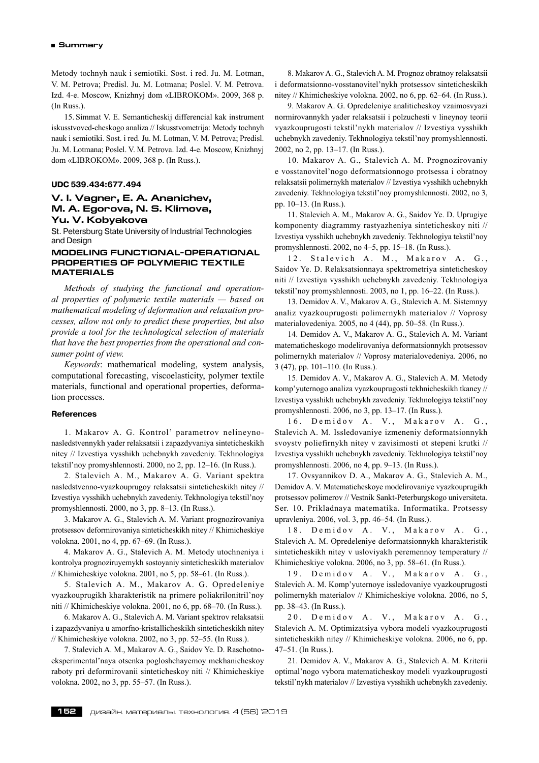Metody tochnyh nauk i semiotiki. Sost. i red. Ju. M. Lotman, V. M. Petrova; Predisl. Ju. M. Lotmana; Poslel. V. M. Petrova. Izd. 4‑e. Moscow, Knizhnyj dom «LIBROKOM». 2009, 368 p. (In Russ.).

15. Simmat V. E. Semanticheskij differencial kak instrument iskusstvoved-cheskogo analiza // Iskusstvometrija: Metody tochnyh nauk i semiotiki. Sost. i red. Ju. M. Lotman, V. M. Petrova; Predisl. Ju. M. Lotmana; Poslel. V. M. Petrova. Izd. 4‑e. Moscow, Knizhnyj dom «LIBROKOM». 2009, 368 p. (In Russ.).

#### **UDC 539.434:677.494**

# **V. I. Vagner, E. A. Ananichev, M. A. Egorova, N. S. Klimova, Yu. V. Kobyakova**

St. Petersburg State University of Industrial Technologies and Design

### **MODELING FUNCTIONAL-OPERATIONAL PROPERTIES OF POLYMERIC TEXTILE MATERIALS**

*Methods of studying the functional and operational properties of polymeric textile materials — based on mathematical modeling of deformation and relaxation processes, allow not only to predict these properties, but also provide a tool for the technological selection of materials that have the best properties from the operational and consumer point of view.*

*Keywords*: mathematical modeling, system analysis, computational forecasting, viscoelasticity, polymer textile materials, functional and operational properties, deformation processes.

# **References**

1. Makarov A. G. Kontrol' parametrov nelineynonasledstvennykh yader relaksatsii i zapazdyvaniya sinteticheskikh nitey // Izvestiya vysshikh uchebnykh zavedeniy. Tekhnologiya tekstil'noy promyshlennosti. 2000, no 2, pp. 12–16. (In Russ.).

2. Stalevich A. M., Makarov A. G. Variant spektra nasledstvenno-vyazkouprugoy relaksatsii sinteticheskikh nitey // Izvestiya vysshikh uchebnykh zavedeniy. Tekhnologiya tekstil'noy promyshlennosti. 2000, no 3, pp. 8–13. (In Russ.).

3. Makarov A. G., Stalevich A. M. Variant prognozirovaniya protsessov deformirovaniya sinteticheskikh nitey // Khimicheskiye volokna. 2001, no 4, pp. 67–69. (In Russ.).

4. Makarov A. G., Stalevich A. M. Metody utochneniya i kontrolya prognoziruyemykh sostoyaniy sinteticheskikh materialov // Khimicheskiye volokna. 2001, no 5, pp. 58–61. (In Russ.).

5. Stalevich A. M., Makarov A. G. Opredeleniye vyazkouprugikh kharakteristik na primere poliakrilonitril'noy niti // Khimicheskiye volokna. 2001, no 6, pp. 68–70. (In Russ.).

6. Makarov A. G., Stalevich A. M. Variant spektrov relaksatsii i zapazdyvaniya u amorfno-kristallicheskikh sinteticheskikh nitey // Khimicheskiye volokna. 2002, no 3, pp. 52–55. (In Russ.).

7. Stalevich A. M., Makarov A. G., Saidov Ye. D. Raschotnoeksperimental'naya otsenka pogloshchayemoy mekhanicheskoy raboty pri deformirovanii sinteticheskoy niti // Khimicheskiye volokna. 2002, no 3, pp. 55–57. (In Russ.).

8. Makarov A. G., Stalevich A. M. Prognoz obratnoy relaksatsii i deformatsionno-vosstanovitel'nykh protsessov sinteticheskikh nitey // Khimicheskiye volokna. 2002, no 6, pp. 62–64. (In Russ.).

9. Makarov A. G. Opredeleniye analiticheskoy vzaimosvyazi normirovannykh yader relaksatsii i polzuchesti v lineynoy teorii vyazkouprugosti tekstil'nykh materialov // Izvestiya vysshikh uchebnykh zavedeniy. Tekhnologiya tekstil'noy promyshlennosti. 2002, no 2, pp. 13–17. (In Russ.).

10. Makarov A. G., Stalevich A. M. Prognozirovaniy e vosstanovitel'nogo deformatsionnogo protsessa i obratnoy relaksatsii polimernykh materialov // Izvestiya vysshikh uchebnykh zavedeniy. Tekhnologiya tekstil'noy promyshlennosti. 2002, no 3, pp. 10–13. (In Russ.).

11. Stalevich A. M., Makarov A. G., Saidov Ye. D. Uprugiye komponenty diagrammy rastyazheniya sinteticheskoy niti // Izvestiya vysshikh uchebnykh zavedeniy. Tekhnologiya tekstil'noy promyshlennosti. 2002, no 4–5, pp. 15–18. (In Russ.).

12. Stalevich A. M., Makarov A. G., Saidov Ye. D. Relaksatsionnaya spektrometriya sinteticheskoy niti // Izvestiya vysshikh uchebnykh zavedeniy. Tekhnologiya tekstil'noy promyshlennosti. 2003, no 1, pp. 16–22. (In Russ.).

13. Demidov A. V., Makarov A. G., Stalevich A. M. Sistemnyy analiz vyazkouprugosti polimernykh materialov // Voprosy materialovedeniya. 2005, no 4 (44), pp. 50–58. (In Russ.).

14. Demidov A. V., Makarov A. G., Stalevich A. M. Variant matematicheskogo modelirovaniya deformatsionnykh protsessov polimernykh materialov // Voprosy materialovedeniya. 2006, no 3 (47), pp. 101–110. (In Russ.).

15. Demidov A. V., Makarov A. G., Stalevich A. M. Metody komp'yuternogo analiza vyazkouprugosti tekhnicheskikh tkaney // Izvestiya vysshikh uchebnykh zavedeniy. Tekhnologiya tekstil'noy promyshlennosti. 2006, no 3, pp. 13–17. (In Russ.).

16. Demidov A. V., Makarov A. G., Stalevich A. M. Issledovaniye izmeneniy deformatsionnykh svoystv poliefirnykh nitey v zavisimosti ot stepeni krutki // Izvestiya vysshikh uchebnykh zavedeniy. Tekhnologiya tekstil'noy promyshlennosti. 2006, no 4, pp. 9–13. (In Russ.).

17. Ovsyannikov D. A., Makarov A. G., Stalevich A. M., Demidov A. V. Matematicheskoye modelirovaniye vyazkouprugikh protsessov polimerov // Vestnik Sankt-Peterburgskogo universiteta. Ser. 10. Prikladnaya matematika. Informatika. Protsessy upravleniya. 2006, vol. 3, pp. 46–54. (In Russ.).

18. Demidov A. V., Makarov A. G., Stalevich A. M. Opredeleniye deformatsionnykh kharakteristik sinteticheskikh nitey v usloviyakh peremennoy temperatury // Khimicheskiye volokna. 2006, no 3, pp. 58–61. (In Russ.).

19. Demidov A. V., Makarov A. G., Stalevich A. M. Komp'yuternoye issledovaniye vyazkouprugosti polimernykh materialov // Khimicheskiye volokna. 2006, no 5, pp. 38–43. (In Russ.).

20. Demidov A. V., Makarov A. G., Stalevich A. M. Optimizatsiya vybora modeli vyazkouprugosti sinteticheskikh nitey // Khimicheskiye volokna. 2006, no 6, pp. 47–51. (In Russ.).

21. Demidov A. V., Makarov A. G., Stalevich A. M. Kriterii optimal'nogo vybora matematicheskoy modeli vyazkouprugosti tekstil'nykh materialov // Izvestiya vysshikh uchebnykh zavedeniy.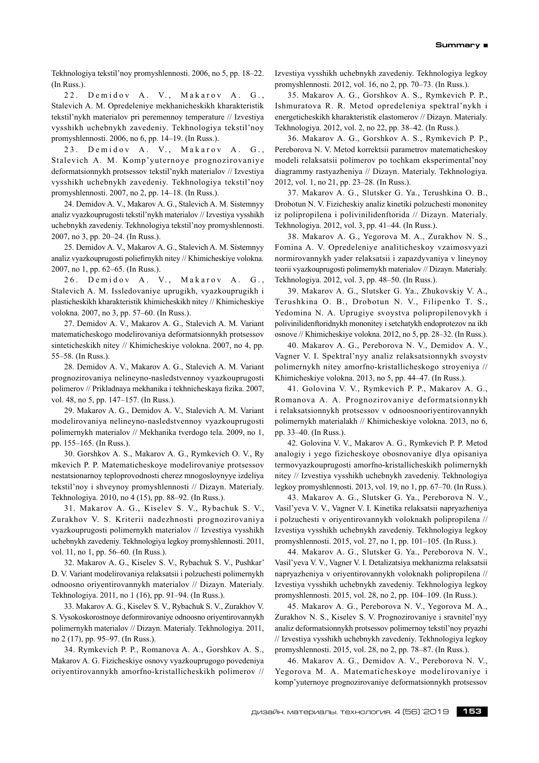Tekhnologiya tekstil'noy promyshlennosti. 2006, no 5, pp. 18–22. (In Russ.).

22. Demidov A. V., Makarov A. G., Stalevich A. M. Opredeleniye mekhanicheskikh kharakteristik tekstil'nykh materialov pri peremennoy temperature // Izvestiya vysshikh uchebnykh zavedeniy. Tekhnologiya tekstil'noy promyshlennosti. 2006, no 6, pp. 14–19. (In Russ.).

23. Demidov A. V., Makarov A. G., Stalevich A. M. Komp'yuternoye prognozirovaniye deformatsionnykh protsessov tekstil'nykh materialov // Izvestiya vysshikh uchebnykh zavedeniy. Tekhnologiya tekstil'noy promyshlennosti. 2007, no 2, pp. 14–18. (In Russ.).

24. Demidov A. V., Makarov A. G., Stalevich A. M. Sistemnyy analiz vyazkouprugosti tekstil'nykh materialov // Izvestiya vysshikh uchebnykh zavedeniy. Tekhnologiya tekstil'noy promyshlennosti. 2007, no 3, pp. 20–24. (In Russ.).

25. Demidov A. V., Makarov A. G., Stalevich A. M. Sistemnyy analiz vyazkouprugosti poliefirnykh nitey // Khimicheskiye volokna. 2007, no 1, pp. 62–65. (In Russ.).

26. Demidov A. V., Makarov A. G., Stalevich A. M. Issledovaniye uprugikh, vyazkouprugikh i plasticheskikh kharakteristik khimicheskikh nitey // Khimicheskiye volokna. 2007, no 3, pp. 57–60. (In Russ.).

27. Demidov A. V., Makarov A. G., Stalevich A. M. Variant matematicheskogo modelirovaniya deformatsionnykh protsessov sinteticheskikh nitey // Khimicheskiye volokna. 2007, no 4, pp. 55–58. (In Russ.).

28. Demidov A. V., Makarov A. G., Stalevich A. M. Variant prognozirovaniya nelineyno-nasledstvennoy vyazkouprugosti polimerov // Prikladnaya mekhanika i tekhnicheskaya fizika. 2007, vol. 48, no 5, pp. 147–157. (In Russ.).

29. Makarov A. G., Demidov A. V., Stalevich A. M. Variant modelirovaniya nelineyno-nasledstvennoy vyazkouprugosti polimernykh materialov // Mekhanika tverdogo tela. 2009, no 1, pp. 155–165. (In Russ.).

30. Gorshkov A. S., Makarov A. G., Rymkevich O. V., Ry mkevich P. P. Matematicheskoye modelirovaniye protsessov nestatsionarnoy teploprovodnosti cherez mnogosloynyye izdeliya tekstil'noy i shveynoy promyshlennosti // Dizayn. Materialy. Tekhnologiya. 2010, no 4 (15), pp. 88–92. (In Russ.).

31. Makarov A. G., Kiselev S. V., Rybachuk S. V., Zurakhov V. S. Kriterii nadezhnosti prognozirovaniya vyazkouprugosti polimernykh materialov // Izvestiya vysshikh uchebnykh zavedeniy. Tekhnologiya legkoy promyshlennosti. 2011, vol. 11, no 1, pp. 56–60. (In Russ.).

32. Makarov A. G., Kiselev S. V., Rybachuk S. V., Pushkar' D. V. Variant modelirovaniya relaksatsii i polzuchesti polimernykh odnoosno oriyentirovannykh materialov // Dizayn. Materialy. Tekhnologiya. 2011, no 1 (16), pp. 91–94. (In Russ.).

33. Makarov A. G., Kiselev S. V., Rybachuk S. V., Zurakhov V. S. Vysokoskorostnoye deformirovaniye odnoosno oriyentirovannykh polimernykh materialov // Dizayn. Materialy. Tekhnologiya. 2011, no 2 (17), pp. 95–97. (In Russ.).

34. Rymkevich P. P., Romanova A. A., Gorshkov A. S., Makarov A. G. Fizicheskiye osnovy vyazkouprugogo povedeniya oriyentirovannykh amorfno-kristallicheskikh polimerov // Izvestiya vysshikh uchebnykh zavedeniy. Tekhnologiya legkoy promyshlennosti. 2012, vol. 16, no 2, pp. 70–73. (In Russ.).

35. Makarov A. G., Gorshkov A. S., Rymkevich P. P., Ishmuratova R. R. Metod opredeleniya spektral'nykh i energeticheskikh kharakteristik elastomerov // Dizayn. Materialy. Tekhnologiya. 2012, vol. 2, no 22, pp. 38–42. (In Russ.).

36. Makarov A. G., Gorshkov A. S., Rymkevich P. P., Pereborova N. V. Metod korrektsii parametrov matematicheskoy modeli relaksatsii polimerov po tochkam eksperimental'noy diagrammy rastyazheniya // Dizayn. Materialy. Tekhnologiya. 2012, vol. 1, no 21, pp. 23–28. (In Russ.).

37. Makarov A. G., Slutsker G. Ya., Terushkina O. B., Drobotun N. V. Fizicheskiy analiz kinetiki polzuchesti mononitey iz polipropilena i polivinilidenftorida // Dizayn. Materialy. Tekhnologiya. 2012, vol. 3, pp. 41–44. (In Russ.).

38. Makarov A. G., Yegorova M. A., Zurakhov N. S., Fomina A. V. Opredeleniye analiticheskoy vzaimosvyazi normirovannykh yader relaksatsii i zapazdyvaniya v lineynoy teorii vyazkouprugosti polimernykh materialov // Dizayn. Materialy. Tekhnologiya. 2012, vol. 3, pp. 48–50. (In Russ.).

39. Makarov A. G., Slutsker G. Ya., Zhukovskiy V. A., Terushkina O. B., Drobotun N. V., Filipenko T. S., Yedomina N. A. Uprugiye svoystva polipropilenovykh i polivinilidenftoridnykh mononitey i setchatykh endoprotezov na ikh osnove // Khimicheskiye volokna. 2012, no 5, pp. 28–32. (In Russ.).

40. Makarov A. G., Pereborova N. V., Demidov A. V., Vagner V. I. Spektral'nyy analiz relaksatsionnykh svoystv polimernykh nitey amorfno-kristallicheskogo stroyeniya // Khimicheskiye volokna. 2013, no 5, pp. 44–47. (In Russ.).

41. Golovina V. V., Rymkevich P. P., Makarov A. G., Romanova A. A. Prognozirovaniye deformatsionnykh i relaksatsionnykh protsessov v odnoosnooriyentirovannykh polimernykh materialakh // Khimicheskiye volokna. 2013, no 6, pp. 33–40. (In Russ.).

42. Golovina V. V., Makarov A. G., Rymkevich P. P. Metod analogiy i yego fizicheskoye obosnovaniye dlya opisaniya termovyazkouprugosti amorfno-kristallicheskikh polimernykh nitey // Izvestiya vysshikh uchebnykh zavedeniy. Tekhnologiya legkoy promyshlennosti. 2013, vol. 19, no 1, pp. 67–70. (In Russ.).

43. Makarov A. G., Slutsker G. Ya., Pereborova N. V., Vasil'yeva V. V., Vagner V. I. Kinetika relaksatsii napryazheniya i polzuchesti v oriyentirovannykh voloknakh polipropilena // Izvestiya vysshikh uchebnykh zavedeniy. Tekhnologiya legkoy promyshlennosti. 2015, vol. 27, no 1, pp. 101–105. (In Russ.).

44. Makarov A. G., Slutsker G. Ya., Pereborova N. V., Vasil'yeva V. V., Vagner V. I. Detalizatsiya mekhanizma relaksatsii napryazheniya v oriyentirovannykh voloknakh polipropilena // Izvestiya vysshikh uchebnykh zavedeniy. Tekhnologiya legkoy promyshlennosti. 2015, vol. 28, no 2, pp. 104–109. (In Russ.).

45. Makarov A. G., Pereborova N. V., Yegorova M. A., Zurakhov N. S., Kiselev S. V. Prognozirovaniye i sravnitel'nyy analiz deformatsionnykh protsessov polimernoy tekstil'noy pryazhi // Izvestiya vysshikh uchebnykh zavedeniy. Tekhnologiya legkoy promyshlennosti. 2015, vol. 28, no 2, pp. 78–87. (In Russ.).

46. Makarov A. G., Demidov A. V., Pereborova N. V., Yegorova M. A. Matematicheskoye modelirovaniye i komp'yuternoye prognozirovaniye deformatsionnykh protsessov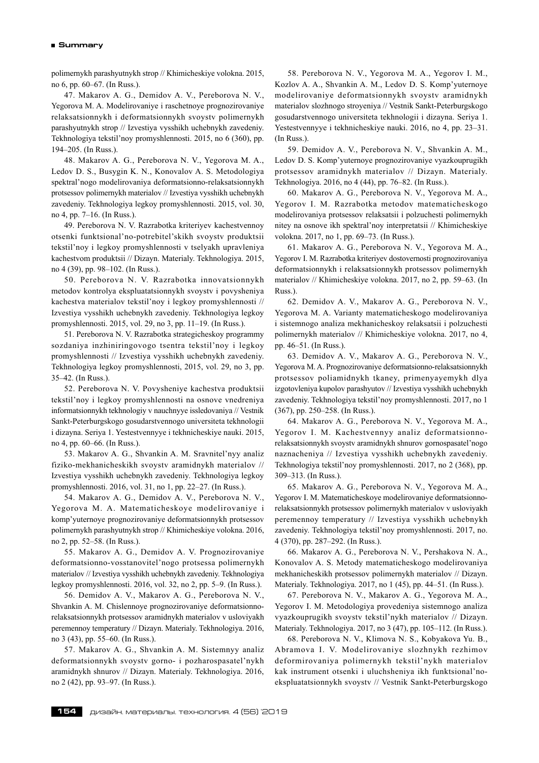polimernykh parashyutnykh strop // Khimicheskiye volokna. 2015, no 6, pp. 60–67. (In Russ.).

47. Makarov A. G., Demidov A. V., Pereborova N. V., Yegorova M. A. Modelirovaniye i raschetnoye prognozirovaniye relaksatsionnykh i deformatsionnykh svoystv polimernykh parashyutnykh strop // Izvestiya vysshikh uchebnykh zavedeniy. Tekhnologiya tekstil'noy promyshlennosti. 2015, no 6 (360), pp. 194–205. (In Russ.).

48. Makarov A. G., Pereborova N. V., Yegorova M. A., Ledov D. S., Busygin K. N., Konovalov A. S. Metodologiya spektral'nogo modelirovaniya deformatsionno-relaksatsionnykh protsessov polimernykh materialov // Izvestiya vysshikh uchebnykh zavedeniy. Tekhnologiya legkoy promyshlennosti. 2015, vol. 30, no 4, pp. 7–16. (In Russ.).

49. Pereborova N. V. Razrabotka kriteriyev kachestvennoy otsenki funktsional'no-potrebitel'skikh svoystv produktsii tekstil'noy i legkoy promyshlennosti v tselyakh upravleniya kachestvom produktsii // Dizayn. Materialy. Tekhnologiya. 2015, no 4 (39), pp. 98–102. (In Russ.).

50. Pereborova N. V. Razrabotka innovatsionnykh metodov kontrolya ekspluatatsionnykh svoystv i povysheniya kachestva materialov tekstil'noy i legkoy promyshlennosti // Izvestiya vysshikh uchebnykh zavedeniy. Tekhnologiya legkoy promyshlennosti. 2015, vol. 29, no 3, pp. 11–19. (In Russ.).

51. Pereborova N. V. Razrabotka strategicheskoy programmy sozdaniya inzhiniringovogo tsentra tekstil'noy i legkoy promyshlennosti // Izvestiya vysshikh uchebnykh zavedeniy. Tekhnologiya legkoy promyshlennosti, 2015, vol. 29, no 3, pp. 35–42. (In Russ.).

52. Pereborova N. V. Povysheniye kachestva produktsii tekstil'noy i legkoy promyshlennosti na osnove vnedreniya informatsionnykh tekhnologiy v nauchnyye issledovaniya // Vestnik Sankt-Peterburgskogo gosudarstvennogo universiteta tekhnologii i dizayna. Seriya 1. Yestestvennyye i tekhnicheskiye nauki. 2015, no 4, pp. 60–66. (In Russ.).

53. Makarov A. G., Shvankin A. M. Sravnitel'nyy analiz fiziko-mekhanicheskikh svoystv aramidnykh materialov // Izvestiya vysshikh uchebnykh zavedeniy. Tekhnologiya legkoy promyshlennosti. 2016, vol. 31, no 1, pp. 22–27. (In Russ.).

54. Makarov A. G., Demidov A. V., Pereborova N. V., Yegorova M. A. Matematicheskoye modelirovaniye i komp'yuternoye prognozirovaniye deformatsionnykh protsessov polimernykh parashyutnykh strop // Khimicheskiye volokna. 2016, no 2, pp. 52–58. (In Russ.).

55. Makarov A. G., Demidov A. V. Prognozirovaniye deformatsionno-vosstanovitel'nogo protsessa polimernykh materialov // Izvestiya vysshikh uchebnykh zavedeniy. Tekhnologiya legkoy promyshlennosti. 2016, vol. 32, no 2, pp. 5–9. (In Russ.).

56. Demidov A. V., Makarov A. G., Pereborova N. V., Shvankin A. M. Chislennoye prognozirovaniye deformatsionnorelaksatsionnykh protsessov aramidnykh materialov v usloviyakh peremennoy temperatury // Dizayn. Materialy. Tekhnologiya. 2016, no 3 (43), pp. 55–60. (In Russ.).

57. Makarov A. G., Shvankin A. M. Sistemnyy analiz deformatsionnykh svoystv gorno- i pozharospasatel'nykh aramidnykh shnurov // Dizayn. Materialy. Tekhnologiya. 2016, no 2 (42), pp. 93–97. (In Russ.).

58. Pereborova N. V., Yegorova M. A., Yegorov I. M., Kozlov A. A., Shvankin A. M., Ledov D. S. Komp'yuternoye modelirovaniye deformatsionnykh svoystv aramidnykh materialov slozhnogo stroyeniya // Vestnik Sankt-Peterburgskogo gosudarstvennogo universiteta tekhnologii i dizayna. Seriya 1. Yestestvennyye i tekhnicheskiye nauki. 2016, no 4, pp. 23–31. (In Russ.).

59. Demidov A. V., Pereborova N. V., Shvankin A. M., Ledov D. S. Komp'yuternoye prognozirovaniye vyazkouprugikh protsessov aramidnykh materialov // Dizayn. Materialy. Tekhnologiya. 2016, no 4 (44), pp. 76–82. (In Russ.).

60. Makarov A. G., Pereborova N. V., Yegorova M. A., Yegorov I. M. Razrabotka metodov matematicheskogo modelirovaniya protsessov relaksatsii i polzuchesti polimernykh nitey na osnove ikh spektral'noy interpretatsii // Khimicheskiye volokna. 2017, no 1, pp. 69–73. (In Russ.).

61. Makarov A. G., Pereborova N. V., Yegorova M. A., Yegorov I. M. Razrabotka kriteriyev dostovernosti prognozirovaniya deformatsionnykh i relaksatsionnykh protsessov polimernykh materialov // Khimicheskiye volokna. 2017, no 2, pp. 59–63. (In Russ.).

62. Demidov A. V., Makarov A. G., Pereborova N. V., Yegorova M. A. Varianty matematicheskogo modelirovaniya i sistemnogo analiza mekhanicheskoy relaksatsii i polzuchesti polimernykh materialov // Khimicheskiye volokna. 2017, no 4, pp. 46–51. (In Russ.).

63. Demidov A. V., Makarov A. G., Pereborova N. V., Yegorova M. A. Prognozirovaniye deformatsionno-relaksatsionnykh protsessov poliamidnykh tkaney, primenyayemykh dlya izgotovleniya kupolov parashyutov // Izvestiya vysshikh uchebnykh zavedeniy. Tekhnologiya tekstil'noy promyshlennosti. 2017, no 1 (367), pp. 250–258. (In Russ.).

64. Makarov A. G., Pereborova N. V., Yegorova M. A., Yegorov I. M. Kachestvennyy analiz deformatsionnorelaksatsionnykh svoystv aramidnykh shnurov gornospasatel'nogo naznacheniya // Izvestiya vysshikh uchebnykh zavedeniy. Tekhnologiya tekstil'noy promyshlennosti. 2017, no 2 (368), pp. 309–313. (In Russ.).

65. Makarov A. G., Pereborova N. V., Yegorova M. A., Yegorov I. M. Matematicheskoye modelirovaniye deformatsionnorelaksatsionnykh protsessov polimernykh materialov v usloviyakh peremennoy temperatury // Izvestiya vysshikh uchebnykh zavedeniy. Tekhnologiya tekstil'noy promyshlennosti. 2017, no. 4 (370), pp. 287–292. (In Russ.).

66. Makarov A. G., Pereborova N. V., Pershakova N. A., Konovalov A. S. Metody matematicheskogo modelirovaniya mekhanicheskikh protsessov polimernykh materialov // Dizayn. Materialy. Tekhnologiya. 2017, no 1 (45), pp. 44–51. (In Russ.).

67. Pereborova N. V., Makarov A. G., Yegorova M. A., Yegorov I. M. Metodologiya provedeniya sistemnogo analiza vyazkouprugikh svoystv tekstil'nykh materialov // Dizayn. Materialy. Tekhnologiya. 2017, no 3 (47), pp. 105–112. (In Russ.).

68. Pereborova N. V., Klimova N. S., Kobyakova Yu. B., Abramova I. V. Modelirovaniye slozhnykh rezhimov deformirovaniya polimernykh tekstil'nykh materialov kak instrument otsenki i uluchsheniya ikh funktsional'noekspluatatsionnykh svoystv // Vestnik Sankt-Peterburgskogo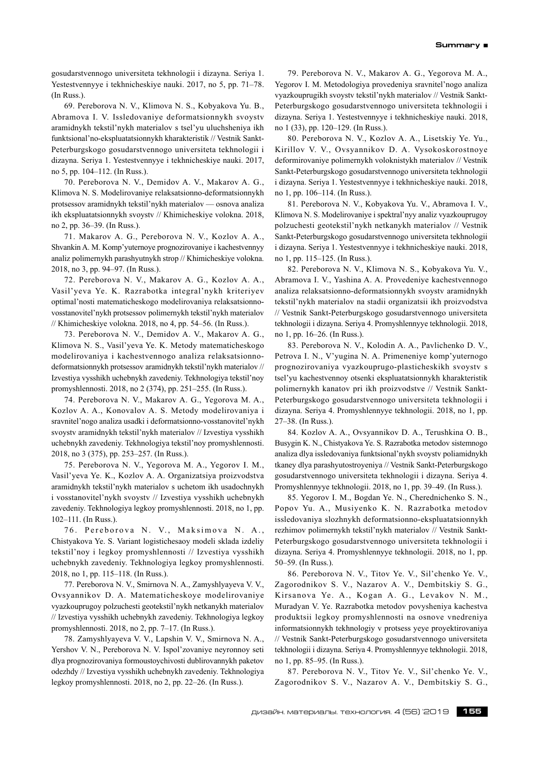gosudarstvennogo universiteta tekhnologii i dizayna. Seriya 1. Yestestvennyye i tekhnicheskiye nauki. 2017, no 5, pp. 71–78. (In Russ.).

69. Pereborova N. V., Klimova N. S., Kobyakova Yu. B., Abramova I. V. Issledovaniye deformatsionnykh svoystv aramidnykh tekstil'nykh materialov s tsel'yu uluchsheniya ikh funktsional'no-ekspluatatsionnykh kharakteristik // Vestnik Sankt-Peterburgskogo gosudarstvennogo universiteta tekhnologii i dizayna. Seriya 1. Yestestvennyye i tekhnicheskiye nauki. 2017, no 5, pp. 104–112. (In Russ.).

70. Pereborova N. V., Demidov A. V., Makarov A. G., Klimova N. S. Modelirovaniye relaksatsionno-deformatsionnykh protsessov aramidnykh tekstil'nykh materialov — osnova analiza ikh ekspluatatsionnykh svoystv // Khimicheskiye volokna. 2018, no 2, pp. 36–39. (In Russ.).

71. Makarov A. G., Pereborova N. V., Kozlov A. A., Shvankin A. M. Komp'yuternoye prognozirovaniye i kachestvennyy analiz polimernykh parashyutnykh strop // Khimicheskiye volokna. 2018, no 3, pp. 94–97. (In Russ.).

72. Pereborova N. V., Makarov A. G., Kozlov A. A., Vasil'yeva Ye. K. Razrabotka integral'nykh kriteriyev optimal'nosti matematicheskogo modelirovaniya relaksatsionnovosstanovitel'nykh protsessov polimernykh tekstil'nykh materialov // Khimicheskiye volokna. 2018, no 4, pp. 54–56. (In Russ.).

73. Pereborova N. V., Demidov A. V., Makarov A. G., Klimova N. S., Vasil'yeva Ye. K. Metody matematicheskogo modelirovaniya i kachestvennogo analiza relaksatsionnodeformatsionnykh protsessov aramidnykh tekstil'nykh materialov // Izvestiya vysshikh uchebnykh zavedeniy. Tekhnologiya tekstil'noy promyshlennosti. 2018, no 2 (374), pp. 251–255. (In Russ.).

74. Pereborova N. V., Makarov A. G., Yegorova M. A., Kozlov A. A., Konovalov A. S. Metody modelirovaniya i sravnitel'nogo analiza usadki i deformatsionno-vosstanovitel'nykh svoystv aramidnykh tekstil'nykh materialov // Izvestiya vysshikh uchebnykh zavedeniy. Tekhnologiya tekstil'noy promyshlennosti. 2018, no 3 (375), pp. 253–257. (In Russ.).

75. Pereborova N. V., Yegorova M. A., Yegorov I. M., Vasil'yeva Ye. K., Kozlov A. A. Organizatsiya proizvodstva aramidnykh tekstil'nykh materialov s uchetom ikh usadochnykh i vosstanovitel'nykh svoystv // Izvestiya vysshikh uchebnykh zavedeniy. Tekhnologiya legkoy promyshlennosti. 2018, no 1, pp. 102–111. (In Russ.).

76. Pereborova N. V., Maksimova N. A., Chistyakova Ye. S. Variant logistichesaoy modeli sklada izdeliy tekstil'noy i legkoy promyshlennosti // Izvestiya vysshikh uchebnykh zavedeniy. Tekhnologiya legkoy promyshlennosti. 2018, no 1, pp. 115–118. (In Russ.).

77. Pereborova N. V., Smirnova N. A., Zamyshlyayeva V. V., Ovsyannikov D. A. Matematicheskoye modelirovaniye vyazkouprugoy polzuchesti geotekstil'nykh netkanykh materialov // Izvestiya vysshikh uchebnykh zavedeniy. Tekhnologiya legkoy promyshlennosti. 2018, no 2, pp. 7–17. (In Russ.).

78. Zamyshlyayeva V. V., Lapshin V. V., Smirnova N. A., Yershov V. N., Pereborova N. V. Ispol'zovaniye neyronnoy seti dlya prognozirovaniya formoustoychivosti dublirovannykh paketov odezhdy // Izvestiya vysshikh uchebnykh zavedeniy. Tekhnologiya legkoy promyshlennosti. 2018, no 2, pp. 22–26. (In Russ.).

79. Pereborova N. V., Makarov A. G., Yegorova M. A., Yegorov I. M. Metodologiya provedeniya sravnitel'nogo analiza vyazkouprugikh svoystv tekstil'nykh materialov // Vestnik Sankt-Peterburgskogo gosudarstvennogo universiteta tekhnologii i dizayna. Seriya 1. Yestestvennyye i tekhnicheskiye nauki. 2018, no 1 (33), pp. 120–129. (In Russ.).

80. Pereborova N. V., Kozlov A. A., Lisetskiy Ye. Yu., Kirillov V. V., Ovsyannikov D. A. Vysokoskorostnoye deformirovaniye polimernykh voloknistykh materialov // Vestnik Sankt-Peterburgskogo gosudarstvennogo universiteta tekhnologii i dizayna. Seriya 1. Yestestvennyye i tekhnicheskiye nauki. 2018, no 1, pp. 106–114. (In Russ.).

81. Pereborova N. V., Kobyakova Yu. V., Abramova I. V., Klimova N. S. Modelirovaniye i spektral'nyy analiz vyazkouprugoy polzuchesti geotekstil'nykh netkanykh materialov // Vestnik Sankt-Peterburgskogo gosudarstvennogo universiteta tekhnologii i dizayna. Seriya 1. Yestestvennyye i tekhnicheskiye nauki. 2018, no 1, pp. 115–125. (In Russ.).

82. Pereborova N. V., Klimova N. S., Kobyakova Yu. V., Abramova I. V., Yashina A. A. Provedeniye kachestvennogo analiza relaksatsionno-deformatsionnykh svoystv aramidnykh tekstil'nykh materialov na stadii organizatsii ikh proizvodstva // Vestnik Sankt-Peterburgskogo gosudarstvennogo universiteta tekhnologii i dizayna. Seriya 4. Promyshlennyye tekhnologii. 2018, no 1, pp. 16–26. (In Russ.).

83. Pereborova N. V., Kolodin A. A., Pavlichenko D. V., Petrova I. N., V'yugina N. A. Primeneniye komp'yuternogo prognozirovaniya vyazkouprugo-plasticheskikh svoystv s tsel'yu kachestvennoy otsenki ekspluatatsionnykh kharakteristik polimernykh kanatov pri ikh proizvodstve // Vestnik Sankt-Peterburgskogo gosudarstvennogo universiteta tekhnologii i dizayna. Seriya 4. Promyshlennyye tekhnologii. 2018, no 1, pp. 27–38. (In Russ.).

84. Kozlov A. A., Ovsyannikov D. A., Terushkina O. B., Busygin K. N., Chistyakova Ye. S. Razrabotka metodov sistemnogo analiza dlya issledovaniya funktsional'nykh svoystv poliamidnykh tkaney dlya parashyutostroyeniya // Vestnik Sankt-Peterburgskogo gosudarstvennogo universiteta tekhnologii i dizayna. Seriya 4. Promyshlennyye tekhnologii. 2018, no 1, pp. 39–49. (In Russ.).

85. Yegorov I. M., Bogdan Ye. N., Cherednichenko S. N., Popov Yu. A., Musiyenko K. N. Razrabotka metodov issledovaniya slozhnykh deformatsionno-ekspluatatsionnykh rezhimov polimernykh tekstil'nykh materialov // Vestnik Sankt-Peterburgskogo gosudarstvennogo universiteta tekhnologii i dizayna. Seriya 4. Promyshlennyye tekhnologii. 2018, no 1, pp. 50–59. (In Russ.).

86. Pereborova N. V., Titov Ye. V., Sil'chenko Ye. V., Zagorodnikov S. V., Nazarov A. V., Dembitskiy S. G., Kirsanova Ye. A., Kogan A. G., Levakov N. M., Muradyan V. Ye. Razrabotka metodov povysheniya kachestva produktsii legkoy promyshlennosti na osnove vnedreniya informatsionnykh tekhnologiy v protsess yeye proyektirovaniya // Vestnik Sankt-Peterburgskogo gosudarstvennogo universiteta tekhnologii i dizayna. Seriya 4. Promyshlennyye tekhnologii. 2018, no 1, pp. 85–95. (In Russ.).

87. Pereborova N. V., Titov Ye. V., Sil'chenko Ye. V., Zagorodnikov S. V., Nazarov A. V., Dembitskiy S. G.,